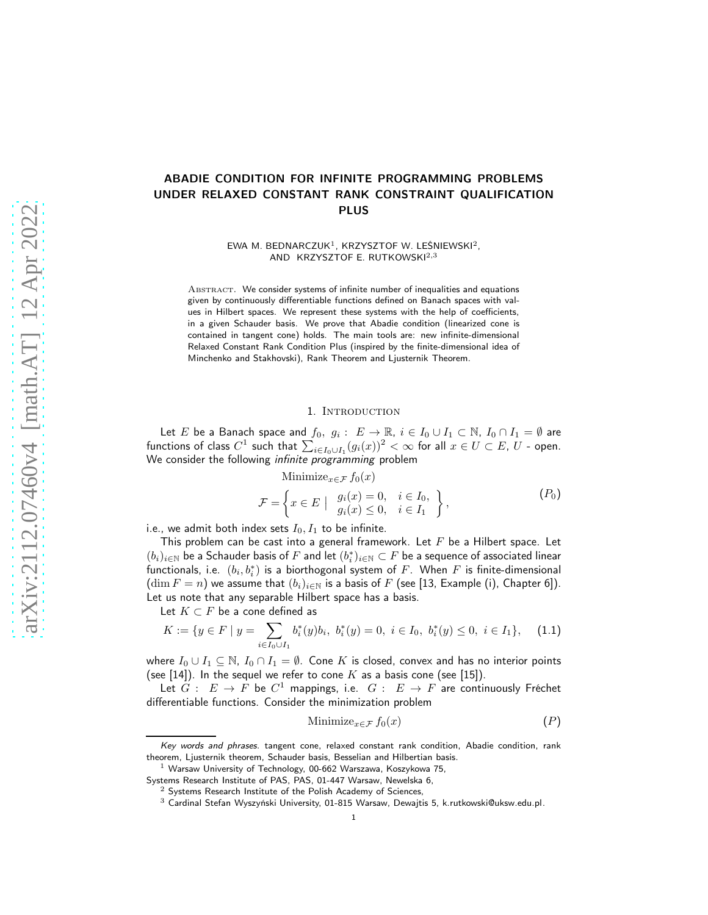# ABADIE CONDITION FOR INFINITE PROGRAMMING PROBLEMS UNDER RELAXED CONSTANT RANK CONSTRAINT QUALIFICATION PLUS

EWA M. BEDNARCZUK<sup>1</sup>, KRZYSZTOF W. LEŚNIEWSKI<sup>2</sup>, AND KRZYSZTOF E. RUTKOWSKI<sup>2,3</sup>

Abstract. We consider systems of infinite number of inequalities and equations given by continuously differentiable functions defined on Banach spaces with values in Hilbert spaces. We represent these systems with the help of coefficients, in a given Schauder basis. We prove that Abadie condition (linearized cone is contained in tangent cone) holds. The main tools are: new infinite-dimensional Relaxed Constant Rank Condition Plus (inspired by the finite-dimensional idea of Minchenko and Stakhovski), Rank Theorem and Ljusternik Theorem.

#### <span id="page-0-1"></span>1. INTRODUCTION

Let  $E$  be a Banach space and  $f_0,\;g_i:\;E\to\mathbb{R},\;i\in I_0\cup I_1\subset\mathbb{N},\;I_0\cap I_1=\emptyset$  are functions of class  $C^1$  such that  $\sum_{i\in I_0\cup I_1}(g_i(x))^2<\infty$  for all  $x\in U\subset E,$   $U$  - open. We consider the following *infinite programming* problem

Minimize<sub>$$
x \in \mathcal{F}
$$</sub>  $f_0(x)$   
\n
$$
\mathcal{F} = \left\{ x \in E \mid \begin{array}{ll} g_i(x) = 0, & i \in I_0, \\ g_i(x) \le 0, & i \in I_1 \end{array} \right\},
$$
\n(P<sub>0</sub>)

i.e., we admit both index sets  $I_0, I_1$  to be infinite.

This problem can be cast into a general framework. Let  $F$  be a Hilbert space. Let  $(b_i)_{i\in\mathbb{N}}$  be a Schauder basis of  $F$  and let  $(b_i^*)_{i\in\mathbb{N}}\subset F$  be a sequence of associated linear functionals, i.e.  $(b_i,b_i^\ast)$  is a biorthogonal system of  $F.$  When  $F$  is finite-dimensional  $(\dim F = n)$  we assume that  $(b_i)_{i \in \mathbb{N}}$  is a basis of F (see [\[13,](#page-19-0) Example (i), Chapter 6]). Let us note that any separable Hilbert space has a basis.

Let  $K \subset F$  be a cone defined as

<span id="page-0-2"></span>
$$
K := \{ y \in F \mid y = \sum_{i \in I_0 \cup I_1} b_i^*(y) b_i, \ b_i^*(y) = 0, \ i \in I_0, \ b_i^*(y) \le 0, \ i \in I_1 \}, \tag{1.1}
$$

where  $I_0 \cup I_1 \subseteq \mathbb{N}$ ,  $I_0 \cap I_1 = \emptyset$ . Cone K is closed, convex and has no interior points (see [\[14\]](#page-19-1)). In the sequel we refer to cone K as a basis cone (see [\[15\]](#page-19-2)).

Let  $G: E \to F$  be  $C^1$  mappings, i.e.  $G: E \to F$  are continuously Fréchet differentiable functions. Consider the minimization problem

<span id="page-0-0"></span>
$$
\text{Minimize}_{x \in \mathcal{F}} f_0(x) \tag{P}
$$

Key words and phrases. tangent cone, relaxed constant rank condition, Abadie condition, rank theorem, Ljusternik theorem, Schauder basis, Besselian and Hilbertian basis.

 $1$  Warsaw University of Technology, 00-662 Warszawa, Koszykowa 75,

Systems Research Institute of PAS, PAS, 01-447 Warsaw, Newelska 6,

 $2$  Systems Research Institute of the Polish Academy of Sciences,

 $3$  Cardinal Stefan Wyszyński University, 01-815 Warsaw, Dewajtis 5, [k.rutkowski@uksw.edu.pl.](mailto:k.rutkowski@mini.pw.edu.pl)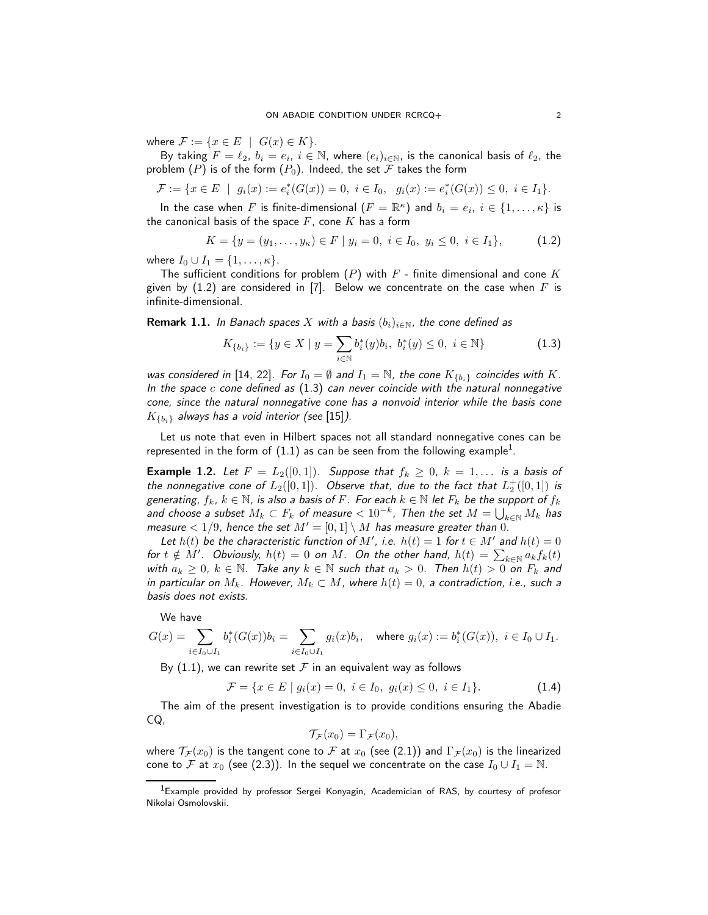where  $\mathcal{F} := \{x \in E \mid G(x) \in K\}.$ 

By taking  $F=\ell_2,\ b_i=e_i,\ i\in\mathbb{N},$  where  $(e_i)_{i\in\mathbb{N}},$  is the canonical basis of  $\ell_2$ , the problem  $(P)$  $(P)$  $(P)$  is of the form  $(P_0)$ . Indeed, the set  $\mathcal F$  takes the form

$$
\mathcal{F} := \{ x \in E \mid g_i(x) := e_i^*(G(x)) = 0, \ i \in I_0, \ g_i(x) := e_i^*(G(x)) \le 0, \ i \in I_1 \}.
$$

In the case when  $F$  is finite-dimensional  $(F=\mathbb{R}^{\kappa})$  and  $b_i=e_i, \ i\in\{1,\ldots, \kappa\}$  is the canonical basis of the space  $F$ , cone  $K$  has a form

<span id="page-1-0"></span>
$$
K = \{ y = (y_1, \dots, y_\kappa) \in F \mid y_i = 0, \ i \in I_0, \ y_i \le 0, \ i \in I_1 \},\tag{1.2}
$$

where  $I_0 \cup I_1 = \{1, ..., \kappa\}.$ 

The sufficient conditions for problem  $(P)$  $(P)$  $(P)$  with  $F$  - finite dimensional and cone  $K$ given by [\(1.2\)](#page-1-0) are considered in [\[7\]](#page-19-3). Below we concentrate on the case when  $F$  is infinite-dimensional.

**Remark 1.1.** In Banach spaces X with a basis  $(b_i)_{i\in\mathbb{N}}$ , the cone defined as

<span id="page-1-1"></span>
$$
K_{\{b_i\}} := \{ y \in X \mid y = \sum_{i \in \mathbb{N}} b_i^*(y) b_i, \ b_i^*(y) \le 0, \ i \in \mathbb{N} \}
$$
(1.3)

was considered in [\[14,](#page-19-1) [22\]](#page-19-4). For  $I_0 = \emptyset$  and  $I_1 = \mathbb{N}$ , the cone  $K_{\{b_i\}}$  coincides with K. In the space  $c$  cone defined as  $(1.3)$  can never coincide with the natural nonnegative cone, since the natural nonnegative cone has a nonvoid interior while the basis cone  $K_{\{b_i\}}$  always has a void interior (see [\[15\]](#page-19-2)).

Let us note that even in Hilbert spaces not all standard nonnegative cones can be represented in the form of  $(1.1)$  $(1.1)$  $(1.1)$  as can be seen from the following example<sup>1</sup>.

**Example 1.2.** Let  $F = L_2([0,1])$ . Suppose that  $f_k \geq 0$ ,  $k = 1, \ldots$  is a basis of the nonnegative cone of  $L_2([0,1])$ . Observe that, due to the fact that  $L_2^+([0,1])$  is generating,  $f_k$ ,  $k \in \mathbb{N}$ , is also a basis of F. For each  $k \in \mathbb{N}$  let  $F_k$  be the support of  $f_k$ and choose a subset  $M_k\subset F_k$  of measure  $< 10^{-k}$ , Then the set  $M = \bigcup_{k\in \mathbb{N}} M_k$  has measure  $< 1/9$ , hence the set  $M' = [0, 1] \setminus M$  has measure greater than 0.

Let  $h(t)$  be the characteristic function of M', i.e.  $h(t) = 1$  for  $t \in M'$  and  $h(t) = 0$ for  $t \notin M'$ . Obviously,  $h(t) = 0$  on M. On the other hand,  $h(t) = \sum_{k \in \mathbb{N}} a_k f_k(t)$ with  $a_k \geq 0$ ,  $k \in \mathbb{N}$ . Take any  $k \in \mathbb{N}$  such that  $a_k > 0$ . Then  $h(t) > 0$  on  $F_k$  and in particular on  $M_k$ . However,  $M_k \subset M$ , where  $h(t) = 0$ , a contradiction, i.e., such a basis does not exists.

We have

$$
G(x) = \sum_{i \in I_0 \cup I_1} b_i^*(G(x)) b_i = \sum_{i \in I_0 \cup I_1} g_i(x) b_i, \quad \text{where } g_i(x) := b_i^*(G(x)), \ i \in I_0 \cup I_1.
$$

By [\(1.1\)](#page-0-2), we can rewrite set  $\mathcal F$  in an equivalent way as follows

<span id="page-1-3"></span>
$$
\mathcal{F} = \{ x \in E \mid g_i(x) = 0, \ i \in I_0, \ g_i(x) \le 0, \ i \in I_1 \}. \tag{1.4}
$$

The aim of the present investigation is to provide conditions ensuring the Abadie CQ,

$$
\mathcal{T}_{\mathcal{F}}(x_0)=\Gamma_{\mathcal{F}}(x_0),
$$

where  $\mathcal{T}_{\mathcal{F}}(x_0)$  is the tangent cone to  $\mathcal F$  at  $x_0$  (see [\(2.1\)](#page-3-0)) and  $\Gamma_{\mathcal{F}}(x_0)$  is the linearized cone to F at  $x_0$  (see [\(2.3\)](#page-3-1)). In the sequel we concentrate on the case  $I_0 \cup I_1 = \mathbb{N}$ .

<span id="page-1-2"></span><sup>&</sup>lt;sup>1</sup>Example provided by professor Sergei Konyagin, Academician of RAS, by courtesy of profesor Nikolai Osmolovskii.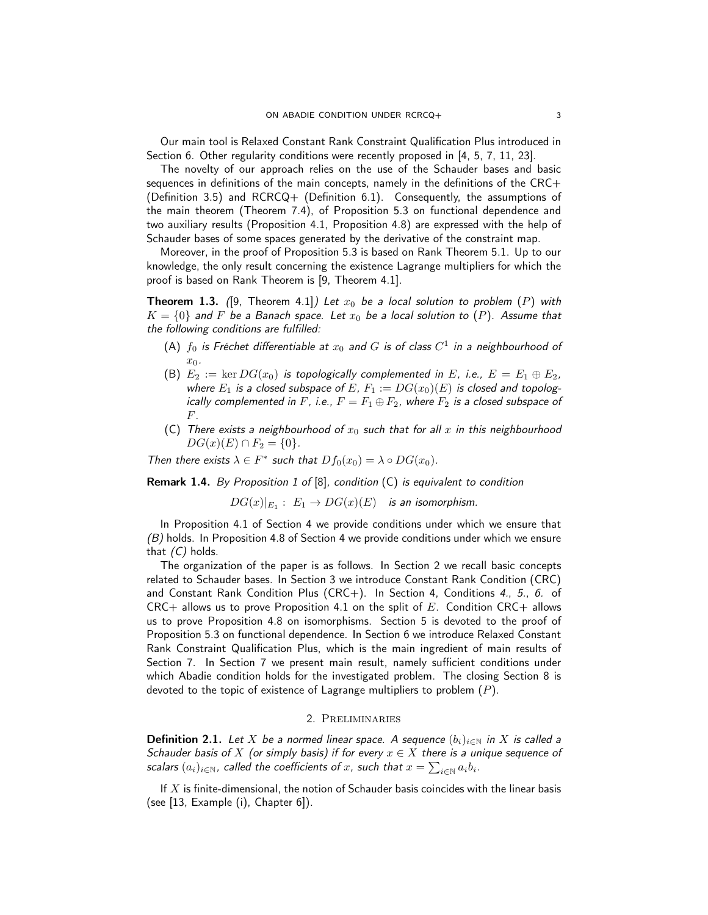Our main tool is Relaxed Constant Rank Constraint Qualification Plus introduced in Section [6.](#page-14-0) Other regularity conditions were recently proposed in [\[4,](#page-19-5) [5,](#page-19-6) [7,](#page-19-3) [11,](#page-19-7) [23\]](#page-19-8).

The novelty of our approach relies on the use of the Schauder bases and basic sequences in definitions of the main concepts, namely in the definitions of the CRC+ (Definition [3.5\)](#page-8-0) and RCRCQ+ (Definition [6.1\)](#page-14-1). Consequently, the assumptions of the main theorem (Theorem [7.4\)](#page-16-0), of Proposition [5.3](#page-13-0) on functional dependence and two auxiliary results (Proposition [4.1,](#page-8-1) Proposition [4.8\)](#page-11-0) are expressed with the help of Schauder bases of some spaces generated by the derivative of the constraint map.

Moreover, in the proof of Proposition [5.3](#page-13-0) is based on Rank Theorem [5.1.](#page-12-0) Up to our knowledge, the only result concerning the existence Lagrange multipliers for which the proof is based on Rank Theorem is [\[9,](#page-19-9) Theorem 4.1].

**Theorem 1.3.** ([\[9,](#page-19-9) Theorem 4.1]) Let  $x_0$  be a local solution to problem ([P](#page-0-0)) with  $K = \{0\}$  and F be a Banach space. Let  $x_0$  be a local solution to ([P](#page-0-0)). Assume that the following conditions are fulfilled:

- (A)  $f_0$  is Fréchet differentiable at  $x_0$  and  $G$  is of class  $C^1$  in a neighbourhood of  $x_0$ .
- <span id="page-2-1"></span>(B)  $E_2 := \ker DG(x_0)$  is topologically complemented in E, i.e.,  $E = E_1 \oplus E_2$ , where  $E_1$  is a closed subspace of E,  $F_1 := DG(x_0)(E)$  is closed and topologically complemented in F, i.e.,  $F = F_1 \oplus F_2$ , where  $F_2$  is a closed subspace of F.
- <span id="page-2-0"></span>(C) There exists a neighbourhood of  $x_0$  such that for all x in this neighbourhood  $DG(x)(E) \cap F_2 = \{0\}.$

Then there exists  $\lambda \in F^*$  such that  $Df_0(x_0) = \lambda \circ DG(x_0)$ .

<span id="page-2-3"></span>Remark 1.4. By Proposition 1 of [\[8\]](#page-19-10), condition [\(C\)](#page-2-0) is equivalent to condition

 $DG(x)|_{E_1}:\; E_1\rightarrow DG(x)(E)\quad$  is an isomorphism.

In Proposition [4.1](#page-8-1) of Section [4](#page-8-2) we provide conditions under which we ensure that  $(B)$  holds. In Proposition [4.8](#page-11-0) of Section [4](#page-8-2) we provide conditions under which we ensure that  $(C)$  holds.

The organization of the paper is as follows. In Section [2](#page-2-2) we recall basic concepts related to Schauder bases. In Section [3](#page-7-0) we introduce Constant Rank Condition (CRC) and Constant Rank Condition Plus (CRC+). In Section [4,](#page-8-2) Conditions [4.](#page-8-3), [5.](#page-8-4), [6.](#page-8-5) of  $CRC+$  allows us to prove Proposition [4.1](#page-8-1) on the split of E. Condition  $CRC+$  allows us to prove Proposition [4.8](#page-11-0) on isomorphisms. Section [5](#page-12-1) is devoted to the proof of Proposition [5.3](#page-13-0) on functional dependence. In Section [6](#page-14-0) we introduce Relaxed Constant Rank Constraint Qualification Plus, which is the main ingredient of main results of Section [7.](#page-14-2) In Section [7](#page-14-2) we present main result, namely sufficient conditions under which Abadie condition holds for the investigated problem. The closing Section [8](#page-17-0) is devoted to the topic of existence of Lagrange multipliers to problem  $(P)$  $(P)$  $(P)$ .

# 2. Preliminaries

<span id="page-2-2"></span>**Definition 2.1.** Let X be a normed linear space. A sequence  $(b_i)_{i\in\mathbb{N}}$  in X is called a Schauder basis of X (or simply basis) if for every  $x \in X$  there is a unique sequence of scalars  $(a_i)_{i\in\mathbb{N}}$ , called the coefficients of  $x$ , such that  $x=\sum_{i\in\mathbb{N}}a_ib_i.$ 

If  $X$  is finite-dimensional, the notion of Schauder basis coincides with the linear basis (see [\[13,](#page-19-0) Example (i), Chapter 6]).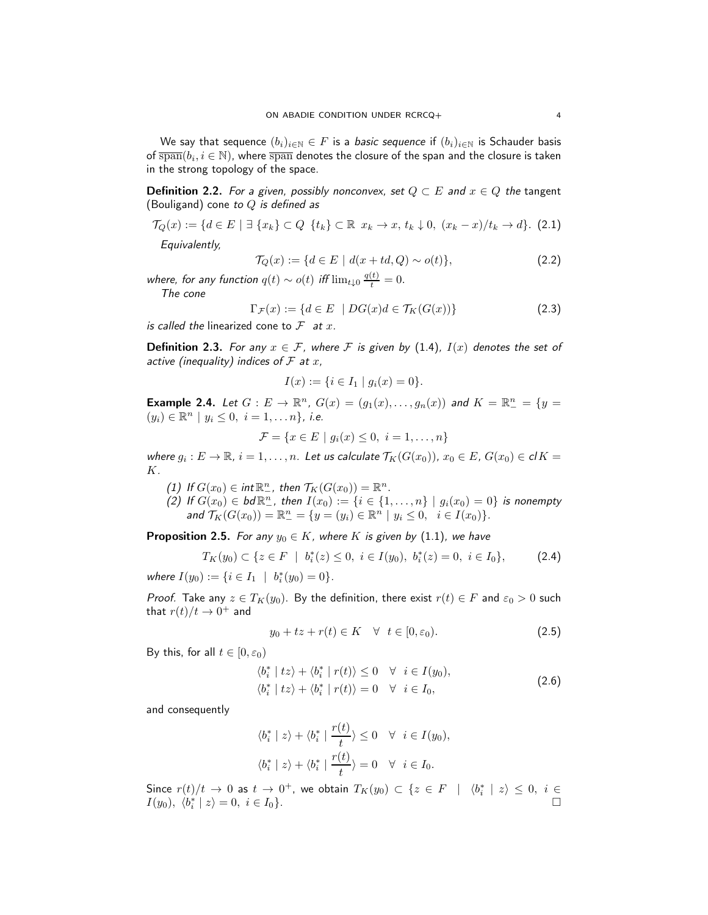We say that sequence  $(b_i)_{i\in\mathbb{N}}\in F$  is a *basic sequence* if  $(b_i)_{i\in\mathbb{N}}$  is Schauder basis of  $\overline{\text{span}}(b_i, i \in \mathbb{N})$ , where  $\overline{\text{span}}$  denotes the closure of the span and the closure is taken in the strong topology of the space.

**Definition 2.2.** For a given, possibly nonconvex, set  $Q \subset E$  and  $x \in Q$  the tangent (Bouligand) cone to  $Q$  is defined as

<span id="page-3-0"></span>
$$
\mathcal{T}_Q(x) := \{ d \in E \mid \exists \ \{x_k\} \subset Q \ \{t_k\} \subset \mathbb{R} \ x_k \to x, \ t_k \downarrow 0, \ (x_k - x)/t_k \to d \}. \tag{2.1}
$$

Equivalently,

$$
\mathcal{T}_Q(x) := \{ d \in E \mid d(x + td, Q) \sim o(t) \},\tag{2.2}
$$

where, for any function  $q(t) \sim o(t)$  iff  $\lim_{t \downarrow 0} \frac{q(t)}{t} = 0$ . The cone

<span id="page-3-1"></span>
$$
\Gamma_{\mathcal{F}}(x) := \{ d \in E \mid DG(x)d \in \mathcal{T}_K(G(x)) \}
$$
\n(2.3)

is called the linearized cone to  $\mathcal F$  at  $x$ .

**Definition 2.3.** For any  $x \in \mathcal{F}$ , where F is given by [\(1.4\)](#page-1-3),  $I(x)$  denotes the set of active (inequality) indices of  $\mathcal F$  at  $x$ ,

$$
I(x) := \{ i \in I_1 \mid g_i(x) = 0 \}.
$$

**Example 2.4.** Let  $G : E \to \mathbb{R}^n$ ,  $G(x) = (g_1(x), \ldots, g_n(x))$  and  $K = \mathbb{R}^n_- = \{y =$  $(y_i) \in \mathbb{R}^n \mid y_i \leq 0, i = 1, \ldots n$ , *i.e.* 

$$
\mathcal{F} = \{ x \in E \mid g_i(x) \le 0, \ i = 1, \dots, n \}
$$

where  $g_i: E \to \mathbb{R}$ ,  $i = 1, \ldots, n$ . Let us calculate  $\mathcal{T}_K(G(x_0))$ ,  $x_0 \in E$ ,  $G(x_0) \in \mathcal{cl} K =$ K.

(1) If  $G(x_0) \in \text{int} \mathbb{R}^n_+$ , then  $\mathcal{T}_K(G(x_0)) = \mathbb{R}^n$ .

(2) If  $G(x_0) \in bd \mathbb{R}^n_+$ , then  $I(x_0) := \{i \in \{1, ..., n\} \mid g_i(x_0) = 0\}$  is nonempty and  $\mathcal{T}_K(G(x_0)) = \mathbb{R}^n_- = \{y = (y_i) \in \mathbb{R}^n \mid y_i \leq 0, \ i \in I(x_0)\}.$ 

<span id="page-3-2"></span>**Proposition 2.5.** For any  $y_0 \in K$ , where K is given by [\(1.1\)](#page-0-2), we have

$$
T_K(y_0) \subset \{ z \in F \mid b_i^*(z) \le 0, \ i \in I(y_0), \ b_i^*(z) = 0, \ i \in I_0 \}, \tag{2.4}
$$

where  $I(y_0) := \{ i \in I_1 \mid b_i^*(y_0) = 0 \}.$ 

*Proof.* Take any  $z \in T_K(y_0)$ . By the definition, there exist  $r(t) \in F$  and  $\varepsilon_0 > 0$  such that  $r(t)/t \to 0^+$  and

$$
y_0 + tz + r(t) \in K \quad \forall \quad t \in [0, \varepsilon_0). \tag{2.5}
$$

By this, for all  $t \in [0, \varepsilon_0)$ 

$$
\langle b_i^* \mid tz \rangle + \langle b_i^* \mid r(t) \rangle \le 0 \quad \forall \quad i \in I(y_0),
$$
  

$$
\langle b_i^* \mid tz \rangle + \langle b_i^* \mid r(t) \rangle = 0 \quad \forall \quad i \in I_0,
$$
 (2.6)

and consequently

$$
\langle b_i^* \mid z \rangle + \langle b_i^* \mid \frac{r(t)}{t} \rangle \le 0 \quad \forall \quad i \in I(y_0),
$$
  

$$
\langle b_i^* \mid z \rangle + \langle b_i^* \mid \frac{r(t)}{t} \rangle = 0 \quad \forall \quad i \in I_0.
$$

Since  $r(t)/t \to 0$  as  $t \to 0^+$ , we obtain  $T_K(y_0) \subset \{z \in F \mid \langle b_i^* | z \rangle \leq 0, i \in$  $I(y_0), \langle b_i^* | z \rangle = 0, i \in I_0$ .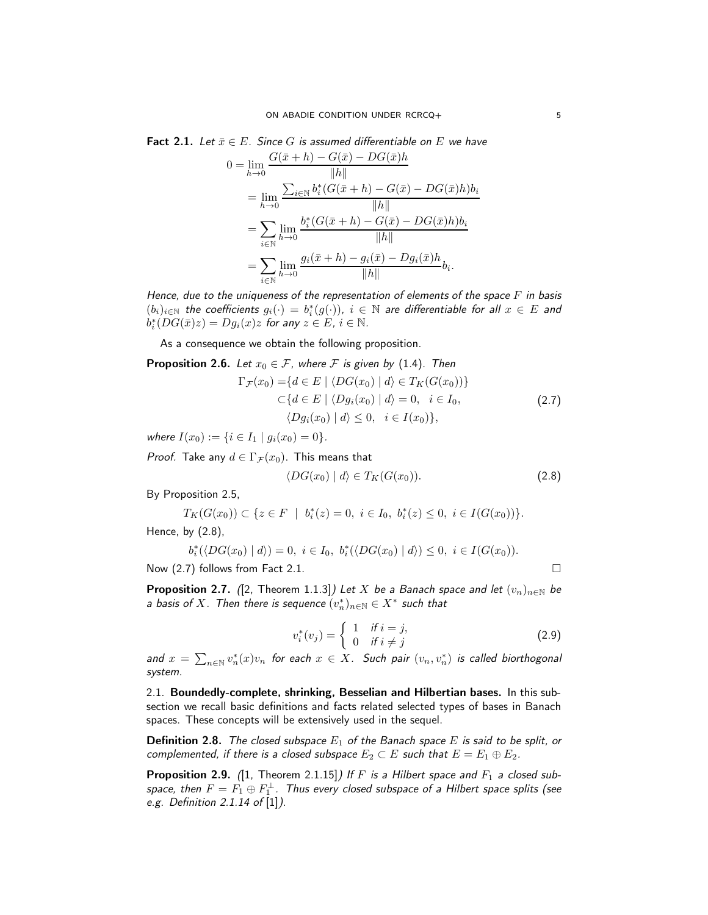<span id="page-4-2"></span>**Fact 2.1.** Let 
$$
\bar{x} \in E
$$
. Since *G* is assumed differentiable on *E* we have  
\n
$$
0 = \lim_{h \to 0} \frac{G(\bar{x} + h) - G(\bar{x}) - DG(\bar{x})h}{\|h\|}
$$
\n
$$
= \lim_{h \to 0} \frac{\sum_{i \in \mathbb{N}} b_i^*(G(\bar{x} + h) - G(\bar{x}) - DG(\bar{x})h)b_i}{\|h\|}
$$

$$
\lim_{h \to 0} \frac{\|h\|}{\|h\|} = \sum_{i \in \mathbb{N}} \lim_{h \to 0} \frac{b_i^*(G(\bar{x} + h) - G(\bar{x}) - DG(\bar{x})h)b_i}{\|h\|} = \sum_{i \in \mathbb{N}} \lim_{h \to 0} \frac{g_i(\bar{x} + h) - g_i(\bar{x}) - Dg_i(\bar{x})h}{\|h\|} b_i.
$$

Hence, due to the uniqueness of the representation of elements of the space  $F$  in basis  $(b_i)_{i\in\mathbb{N}}$  the coefficients  $g_i(\cdot) = b_i^*(g(\cdot))$ ,  $i \in \mathbb{N}$  are differentiable for all  $x \in E$  and  $b_i^*(DG(\bar{x})z) = Dg_i(x)z$  for any  $z \in E$ ,  $i \in \mathbb{N}$ .

As a consequence we obtain the following proposition.

<span id="page-4-6"></span>**Proposition 2.6.** Let  $x_0 \in \mathcal{F}$ , where  $\mathcal{F}$  is given by [\(1.4\)](#page-1-3). Then

$$
\Gamma_{\mathcal{F}}(x_0) = \{d \in E \mid \langle DG(x_0) \mid d \rangle \in T_K(G(x_0))\}
$$
  
\n
$$
\subset \{d \in E \mid \langle Dg_i(x_0) \mid d \rangle = 0, \quad i \in I_0,
$$
  
\n
$$
\langle Dg_i(x_0) \mid d \rangle \leq 0, \quad i \in I(x_0)\},
$$
\n(2.7)

where  $I(x_0) := \{i \in I_1 \mid g_i(x_0) = 0\}.$ 

*Proof.* Take any  $d \in \Gamma_{\mathcal{F}}(x_0)$ . This means that

<span id="page-4-1"></span><span id="page-4-0"></span>
$$
\langle DG(x_0) | d \rangle \in T_K(G(x_0)). \tag{2.8}
$$

By Proposition [2.5,](#page-3-2)

$$
T_K(G(x_0)) \subset \{ z \in F \mid b_i^*(z) = 0, i \in I_0, b_i^*(z) \le 0, i \in I(G(x_0)) \}.
$$

Hence, by [\(2.8\)](#page-4-0),

$$
b_i^*(\langle DG(x_0) | d \rangle) = 0, \ i \in I_0, \ b_i^*(\langle DG(x_0) | d \rangle) \leq 0, \ i \in I(G(x_0)).
$$

Now  $(2.7)$  follows from Fact [2.1.](#page-4-2)

<span id="page-4-4"></span>**Proposition 2.7.** ([\[2,](#page-19-11) Theorem 1.1.3]) Let X be a Banach space and let  $(v_n)_{n\in\mathbb{N}}$  be a basis of X. Then there is sequence  $(v_n^*)_{n\in\mathbb{N}}\in X^*$  such that

<span id="page-4-3"></span>
$$
v_i^*(v_j) = \begin{cases} 1 & \text{if } i = j, \\ 0 & \text{if } i \neq j \end{cases}
$$
 (2.9)

and  $x = \sum_{n \in \mathbb{N}} v_n^*(x) v_n$  for each  $x \in X$ . Such pair  $(v_n, v_n^*)$  is called biorthogonal system.

2.1. Boundedly-complete, shrinking, Besselian and Hilbertian bases. In this subsection we recall basic definitions and facts related selected types of bases in Banach spaces. These concepts will be extensively used in the sequel.

**Definition 2.8.** The closed subspace  $E_1$  of the Banach space E is said to be split, or complemented, if there is a closed subspace  $E_2 \subset E$  such that  $E = E_1 \oplus E_2$ .

<span id="page-4-5"></span>**Proposition 2.9.** ([\[1,](#page-19-12) Theorem 2.1.15]) If F is a Hilbert space and  $F_1$  a closed subspace, then  $F=F_1\oplus F_1^{\perp}$ . Thus every closed subspace of a Hilbert space splits (see e.g. Definition 2.1.14 of [\[1\]](#page-19-12)).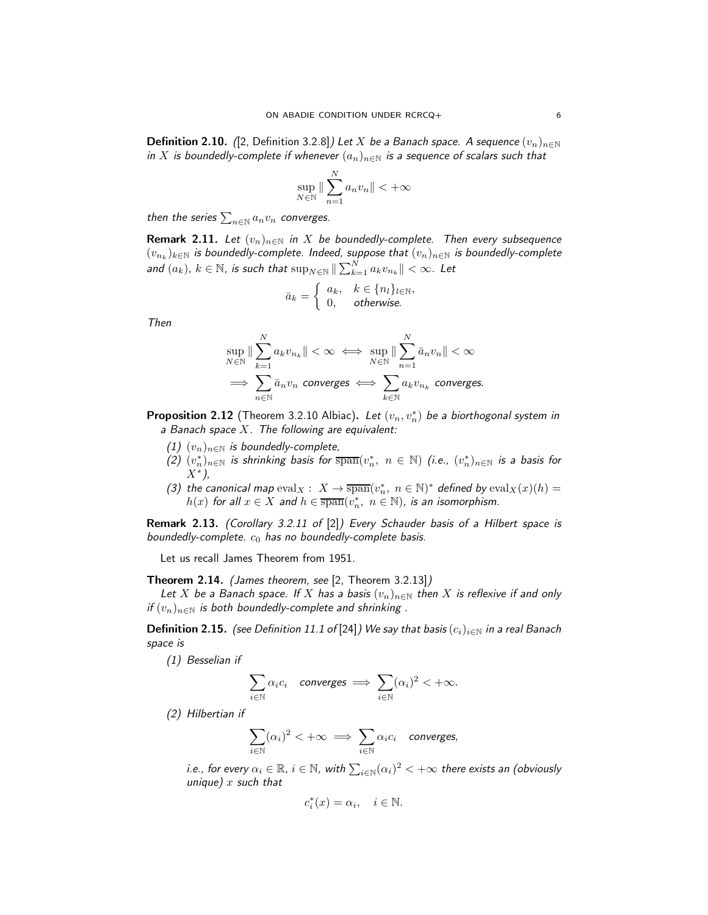**Definition 2.10.** ([\[2,](#page-19-11) Definition 3.2.8]) Let X be a Banach space. A sequence  $(v_n)_{n\in\mathbb{N}}$ in X is boundedly-complete if whenever  $(a_n)_{n\in\mathbb{N}}$  is a sequence of scalars such that

$$
\sup_{N \in \mathbb{N}} \|\sum_{n=1}^{N} a_n v_n\| < +\infty
$$

then the series  $\sum_{n\in \mathbb{N}} a_n v_n$  converges.

**Remark 2.11.** Let  $(v_n)_{n\in\mathbb{N}}$  in X be boundedly-complete. Then every subsequence  $(v_{n_k})_{k\in\mathbb{N}}$  is boundedly-complete. Indeed, suppose that  $(v_n)_{n\in\mathbb{N}}$  is boundedly-complete and  $(a_k)$ ,  $k \in \mathbb{N}$ , is such that  $\sup_{N \in \mathbb{N}} \| \sum_{k=1}^N a_k v_{n_k} \| < \infty$ . Let

$$
\bar{a}_k = \begin{cases} a_k, & k \in \{n_l\}_{l \in \mathbb{N}}, \\ 0, & otherwise. \end{cases}
$$

Then

$$
\sup_{N \in \mathbb{N}} \|\sum_{k=1}^{N} a_k v_{n_k}\| < \infty \iff \sup_{N \in \mathbb{N}} \|\sum_{n=1}^{N} \bar{a}_n v_n\| < \infty
$$
\n
$$
\implies \sum_{n \in \mathbb{N}} \bar{a}_n v_n \text{ converges} \iff \sum_{k \in \mathbb{N}} a_k v_{n_k} \text{ converges.}
$$

<span id="page-5-1"></span>**Proposition 2.12** (Theorem 3.2.10 Albiac). Let  $(v_n, v_n^*)$  be a biorthogonal system in a Banach space  $X$ . The following are equivalent:

- (1)  $(v_n)_{n\in\mathbb{N}}$  is boundedly-complete,
- (2)  $(v_n^*)_{{n \in \mathbb{N}}}$  is shrinking basis for  $\overline{\text{span}}(v_n^*, \; n \in \mathbb{N})$  (i.e.,  $(v_n^*)_{n \in \mathbb{N}}$  is a basis for X<sup>∗</sup> ),
- (3) the canonical map  $eval_X: X \to \overline{\text{span}}(v_n^*, n \in \mathbb{N})^*$  defined by  $eval_X(x)(h) =$  $h(x)$  for all  $x \in X$  and  $h \in \overline{\text{span}}(v_n^*, n \in \mathbb{N})$ , is an isomorphism.

Remark 2.13. (Corollary 3.2.11 of [\[2\]](#page-19-11)) Every Schauder basis of a Hilbert space is boundedly-complete.  $c_0$  has no boundedly-complete basis.

Let us recall James Theorem from 1951.

<span id="page-5-0"></span>Theorem 2.14. (James theorem, see [\[2,](#page-19-11) Theorem 3.2.13])

Let X be a Banach space. If X has a basis  $(v_n)_{n\in\mathbb{N}}$  then X is reflexive if and only if  $(v_n)_{n\in\mathbb{N}}$  is both boundedly-complete and shrinking .

**Definition 2.15.** (see Definition 11.1 of [\[24\]](#page-19-13)) We say that basis  $(c_i)_{i\in\mathbb{N}}$  in a real Banach space is

(1) Besselian if

$$
\sum_{i\in\mathbb{N}}\alpha_ic_i\quad converges\implies \sum_{i\in\mathbb{N}}(\alpha_i)^2<+\infty.
$$

(2) Hilbertian if

$$
\sum_{i\in\mathbb{N}}(\alpha_i)^2<+\infty \implies \sum_{i\in\mathbb{N}}\alpha_ic_i \quad converges,
$$

i.e., for every  $\alpha_i\in\mathbb{R}$ ,  $i\in\mathbb{N}$ , with  $\sum_{i\in\mathbb{N}}(\alpha_i)^2<+\infty$  there exists an (obviously unique)  $x$  such that

$$
c_i^*(x)=\alpha_i, \quad i\in \mathbb{N}.
$$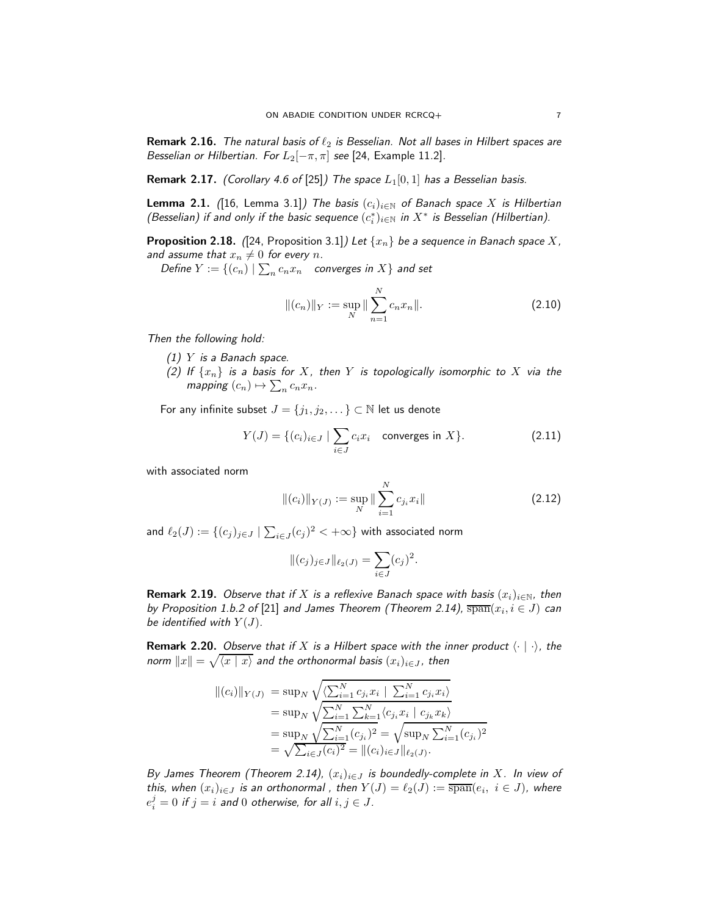**Remark 2.16.** The natural basis of  $\ell_2$  is Besselian. Not all bases in Hilbert spaces are Besselian or Hilbertian. For  $L_2[-\pi,\pi]$  see [\[24,](#page-19-13) Example 11.2].

**Remark 2.17.** (Corollary 4.6 of [\[25\]](#page-19-14)) The space  $L_1[0,1]$  has a Besselian basis.

<span id="page-6-2"></span>**Lemma 2.1.** ([\[16,](#page-19-15) Lemma 3.1]) The basis  $(c_i)_{i\in\mathbb{N}}$  of Banach space X is Hilbertian (Besselian) if and only if the basic sequence  $(c_i^*)_{i\in\mathbb{N}}$  in  $X^*$  is Besselian (Hilbertian).

**Proposition 2.18.** ([\[24,](#page-19-13) Proposition 3.1]) Let  $\{x_n\}$  be a sequence in Banach space X, and assume that  $x_n \neq 0$  for every n.

Define  $Y := \{(c_n) | \sum_n c_n x_n$  converges in  $X\}$  and set

$$
||(c_n)||_Y := \sup_N ||\sum_{n=1}^N c_n x_n||. \tag{2.10}
$$

Then the following hold:

- $(1)$  Y is a Banach space.
- (2) If  $\{x_n\}$  is a basis for X, then Y is topologically isomorphic to X via the mapping  $(c_n) \mapsto \sum_n c_n x_n$ .

For any infinite subset  $J = \{j_1, j_2, \dots\} \subset \mathbb{N}$  let us denote

<span id="page-6-0"></span>
$$
Y(J) = \{(c_i)_{i \in J} \mid \sum_{i \in J} c_i x_i \quad \text{converges in } X\}. \tag{2.11}
$$

with associated norm

$$
\|(c_i)\|_{Y(J)} := \sup_N \|\sum_{i=1}^N c_{j_i} x_i\|
$$
\n(2.12)

and  $\ell_2(J) := \{ (c_j)_{j \in J} \mid \sum_{i \in J} (c_j)^2 < +\infty \}$  with associated norm

$$
||(c_j)_{j\in J}||_{\ell_2(J)} = \sum_{i\in J} (c_j)^2.
$$

**Remark 2.19.** Observe that if X is a reflexive Banach space with basis  $(x_i)_{i\in\mathbb{N}}$ , then by Proposition 1.b.2 of [\[21\]](#page-19-16) and James Theorem (Theorem [2.14\)](#page-5-0),  $\overline{\text{span}}(x_i, i \in J)$  can be identified with  $Y(J)$ .

<span id="page-6-1"></span>**Remark 2.20.** Observe that if X is a Hilbert space with the inner product  $\langle \cdot | \cdot \rangle$ , the norm  $\|x\| = \sqrt{\langle x \mid x \rangle}$  and the orthonormal basis  $(x_i)_{i \in J}$ , then

$$
\begin{aligned} ||(c_i)||_{Y(J)} &= \sup_N \sqrt{\frac{\sum_{i=1}^N c_{j_i} x_i \mid \sum_{i=1}^N c_{j_i} x_i \rangle}{\sum_{i=1}^N \sum_{i=1}^N \langle c_{j_i} x_i \mid c_{j_k} x_k \rangle}} \\ &= \sup_N \sqrt{\frac{\sum_{i=1}^N \sum_{i=1}^N (c_{j_i})^2}{\sum_{i=1}^N (c_{j_i})^2}} = \sqrt{\sup_N \sum_{i=1}^N (c_{j_i})^2} \\ &= \sqrt{\sum_{i \in J} (c_i)^2} = ||(c_i)_{i \in J}||_{\ell_2(J)} .\end{aligned}
$$

By James Theorem (Theorem [2.14\)](#page-5-0),  $(x_i)_{i \in J}$  is boundedly-complete in X. In view of this, when  $(x_i)_{i\in J}$  is an orthonormal , then  $Y(J)=\ell_2(J):=\overline{{\rm span}}(e_i,\;i\in J)$ , where  $e_i^j=0$  if  $j=i$  and  $0$  otherwise, for all  $i,j\in J.$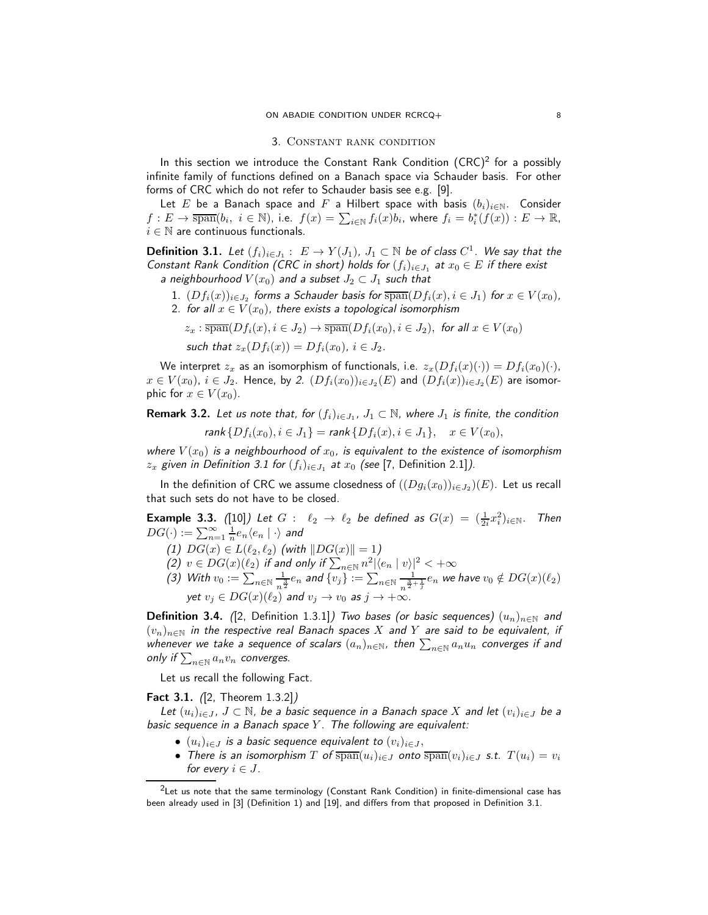#### 3. Constant rank condition

<span id="page-7-0"></span>In this section we introduce the Constant Rank Condition  $(CRC)^2$  $(CRC)^2$  for a possibly infinite family of functions defined on a Banach space via Schauder basis. For other forms of CRC which do not refer to Schauder basis see e.g. [\[9\]](#page-19-9).

Let E be a Banach space and F a Hilbert space with basis  $(b_i)_{i\in\mathbb{N}}$ . Consider  $f: E \to \overline{\text{span}}(b_i, i \in \mathbb{N})$ , i.e.  $f(x) = \sum_{i \in \mathbb{N}} f_i(x)b_i$ , where  $f_i = b_i^*(f(x)) : E \to \mathbb{R}$ ,  $i \in \mathbb{N}$  are continuous functionals.

<span id="page-7-3"></span>**Definition 3.1.** Let  $(f_i)_{i \in J_1}: E \to Y(J_1)$ ,  $J_1 \subset \mathbb{N}$  be of class  $C^1$ . We say that the Constant Rank Condition (CRC in short) holds for  $(f_i)_{i\in J_1}$  at  $x_0\in E$  if there exist a neighbourhood  $V(x_0)$  and a subset  $J_2 \subset J_1$  such that

<span id="page-7-2"></span> $1. \,\, (Df_i(x))_{i\in J_2}$  forms a Schauder basis for  $\overline{\text{span}}(Df_i(x), i\in J_1)$  for  $x\in V(x_0),$ 2. for all  $x \in V(x_0)$ , there exists a topological isomorphism

$$
z_x : \overline{\text{span}}(Df_i(x), i \in J_2) \to \overline{\text{span}}(Df_i(x_0), i \in J_2), \text{ for all } x \in V(x_0)
$$
  
such that  $z_x(Df_i(x)) = Df_i(x_0), i \in J_2$ .

We interpret  $z_x$  as an isomorphism of functionals, i.e.  $z_x(Df_i(x)(\cdot)) = Df_i(x_0)(\cdot)$ ,  $x\in V(x_0),\,i\in J_2.$  $x\in V(x_0),\,i\in J_2.$  Hence, by 2.  $(Df_i(x_0))_{i\in J_2}(E)$  and  $(Df_i(x))_{i\in J_2}(E)$  are isomorphic for  $x \in V(x_0)$ .

**Remark 3.2.** Let us note that, for  $(f_i)_{i \in J_1}$ ,  $J_1 \subset \mathbb{N}$ , where  $J_1$  is finite, the condition  $rank\{Df_i(x_0), i \in J_1\} = rank\{Df_i(x), i \in J_1\}, \quad x \in V(x_0),$ 

where  $V(x_0)$  is a neighbourhood of  $x_0$ , is equivalent to the existence of isomorphism  $z_x$  given in Definition [3.1](#page-7-3) for  $(f_i)_{i\in J_1}$  at  $x_0$  (see [\[7,](#page-19-3) Definition 2.1]).

In the definition of CRC we assume closedness of  $((Dg_i(x_0))_{i\in J_2})(E)$ . Let us recall that such sets do not have to be closed.

**Example 3.3.** ([\[10\]](#page-19-17)) Let  $G: \ell_2 \to \ell_2$  be defined as  $G(x) = (\frac{1}{2i}x_i^2)_{i \in \mathbb{N}}$ . Then  $DG(\cdot):=\sum_{n=1}^{\infty}\frac{1}{n}e_{n}\langle e_{n}\mid\cdot\rangle$  and

(1)  $DG(x) \in L(\ell_2, \ell_2)$  (with  $\|DG(x)\|=1$ )

- (2)  $v \in DG(x)(\ell_2)$  if and only if  $\sum_{n \in \mathbb{N}} n^2 |\langle e_n | v \rangle|^2 < +\infty$
- (3) With  $v_0 := \sum_{n \in \mathbb{N}} \frac{1}{n!}$  $\frac{1}{n^{\frac{3}{2}}}e_n$  and  $\{v_j\}:=\sum_{n\in\mathbb{N}}\frac{1}{n^{\frac{3}{2}}}$  $\frac{1}{n^{\frac{3}{2}+\frac{1}{j}}}e_n$  we have  $v_0 \notin DG(x)(\ell_2)$ yet  $v_j \in DG(x)(\ell_2)$  and  $v_j \to v_0$  as  $j \to +\infty$ .

**Definition 3.4.** ([\[2,](#page-19-11) Definition 1.3.1]) Two bases (or basic sequences)  $(u_n)_{n\in\mathbb{N}}$  and  $(v_n)_{n\in\mathbb{N}}$  in the respective real Banach spaces X and Y are said to be equivalent, if whenever we take a sequence of scalars  $(a_n)_{n\in\mathbb{N}}$ , then  $\sum_{n\in\mathbb{N}}a_nu_n$  converges if and only if  $\sum_{n\in \mathbb{N}}a_nv_n$  converges.

Let us recall the following Fact.

Fact 3.1. ([\[2,](#page-19-11) Theorem 1.3.2])

Let  $(u_i)_{i\in J}$ ,  $J\subset \mathbb{N}$ , be a basic sequence in a Banach space X and let  $(v_i)_{i\in J}$  be a basic sequence in a Banach space  $Y$ . The following are equivalent:

- $(u_i)_{i \in J}$  is a basic sequence equivalent to  $(v_i)_{i \in J}$ ,
- There is an isomorphism T of  $\overline{\text{span}}(u_i)_{i\in J}$  onto  $\overline{\text{span}}(v_i)_{i\in J}$  s.t.  $T(u_i) = v_i$ for every  $i \in J$ .

<span id="page-7-1"></span> ${}^{2}$ Let us note that the same terminology (Constant Rank Condition) in finite-dimensional case has been already used in [\[3\]](#page-19-18) (Definition 1) and [\[19\]](#page-19-19), and differs from that proposed in Definition [3.1.](#page-7-3)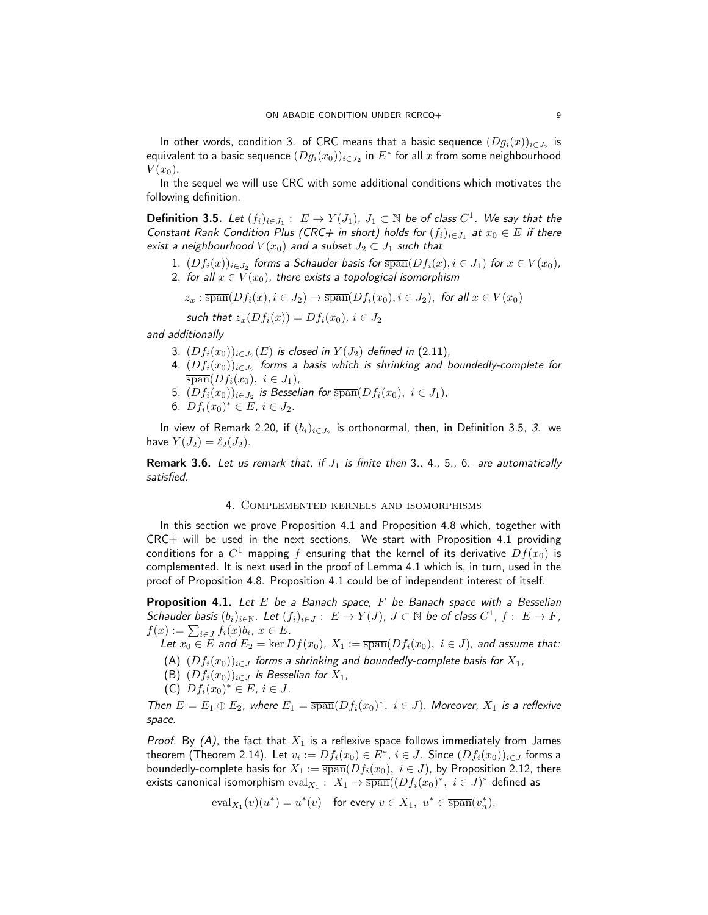In other words, condition 3. of CRC means that a basic sequence  $(Dg_i(x))_{i\in J_2}$  is equivalent to a basic sequence  $(Dg_i(x_0))_{i\in J_2}$  in  $E^*$  for all  $x$  from some neighbourhood  $V(x_0)$ .

In the sequel we will use CRC with some additional conditions which motivates the following definition.

<span id="page-8-0"></span>**Definition 3.5.** Let  $(f_i)_{i \in J_1}: E \to Y(J_1)$ ,  $J_1 \subset \mathbb{N}$  be of class  $C^1$ . We say that the Constant Rank Condition Plus (CRC+ in short) holds for  $(f_i)_{i\in J_1}$  at  $x_0\in E$  if there exist a neighbourhood  $V(x_0)$  and a subset  $J_2 \subset J_1$  such that

- <span id="page-8-11"></span><span id="page-8-10"></span> $1. \,\, (Df_i(x))_{i\in J_2}$  forms a Schauder basis for  $\overline{\text{span}}(Df_i(x), i\in J_1)$  for  $x\in V(x_0),$ 2. for all  $x \in V(x_0)$ , there exists a topological isomorphism
	- $z_x : \overline{\text{span}}(Df_i(x), i \in J_2) \to \overline{\text{span}}(Df_i(x_0), i \in J_2)$ , for all  $x \in V(x_0)$

such that 
$$
z_x(Df_i(x)) = Df_i(x_0), i \in J_2
$$

<span id="page-8-6"></span><span id="page-8-3"></span>and additionally

- 3.  $(Df_i(x_0))_{i\in J_2}(E)$  is closed in  $Y(J_2)$  defined in [\(2.11\)](#page-6-0),
- 4.  $(Df_i(x_0))_{i\in J_2}$  forms a basis which is shrinking and boundedly-complete for  $\overline{\text{span}}(Df_i(x_0), i \in J_1),$
- <span id="page-8-5"></span><span id="page-8-4"></span>5.  $(Df_i(x_0))_{i\in J_2}$  is Besselian for  $\overline{\text{span}}(Df_i(x_0), i\in J_1)$ ,
- 6.  $Df_i(x_0)^* \in E$ ,  $i \in J_2$ .

In view of Remark [2.20,](#page-6-1) if  $(b_i)_{i\in J_2}$  is orthonormal, then, in Definition [3.5,](#page-8-0) *[3.](#page-8-6)* we have  $Y(J_2) = \ell_2(J_2)$ .

<span id="page-8-2"></span>**Remark [3.](#page-8-6)[6.](#page-8-5)** Let us remark that, if  $J_1$  is finite then 3., [4.](#page-8-3), [5.](#page-8-4), 6. are automatically satisfied.

#### 4. Complemented kernels and isomorphisms

In this section we prove Proposition [4.1](#page-8-1) and Proposition [4.8](#page-11-0) which, together with CRC+ will be used in the next sections. We start with Proposition [4.1](#page-8-1) providing conditions for a  $C^1$  mapping  $f$  ensuring that the kernel of its derivative  $Df(x_0)$  is complemented. It is next used in the proof of Lemma [4.1](#page-10-0) which is, in turn, used in the proof of Proposition [4.8.](#page-11-0) Proposition [4.1](#page-8-1) could be of independent interest of itself.

<span id="page-8-1"></span>**Proposition 4.1.** Let  $E$  be a Banach space,  $F$  be Banach space with a Besselian Schauder basis  $(b_i)_{i\in\mathbb{N}}$ . Let  $(f_i)_{i\in J}: E \to Y(J)$ ,  $J \subset \mathbb{N}$  be of class  $C^1$ ,  $f: E \to F$ ,  $f(x) := \sum_{i \in J} f_i(x) b_i, x \in E.$ 

<span id="page-8-7"></span>Let  $x_0 \in E$  and  $E_2 = \ker Df(x_0)$ ,  $X_1 := \overline{\operatorname{span}}(Df_i(x_0), i \in J)$ , and assume that:

- <span id="page-8-9"></span>(A)  $(Df_i(x_0))_{i\in J}$  forms a shrinking and boundedly-complete basis for  $X_1$ ,
- <span id="page-8-8"></span>(B)  $(Df_i(x_0))_{i\in J}$  is Besselian for  $X_1$ ,
- (C)  $Df_i(x_0)^* \in E, i \in J.$

Then  $E = E_1 \oplus E_2$ , where  $E_1 = \overline{\text{span}}(Df_i(x_0)^*, i \in J)$ . Moreover,  $X_1$  is a reflexive space.

*Proof.* By [\(A\)](#page-8-7), the fact that  $X_1$  is a reflexive space follows immediately from James theorem (Theorem [2.14\)](#page-5-0). Let  $v_i := Df_i(x_0) \in E^*$ ,  $i \in J$ . Since  $(Df_i(x_0))_{i \in J}$  forms a boundedly-complete basis for  $X_1 := \overline{\text{span}}(Df_i(x_0), i \in J)$ , by Proposition [2.12,](#page-5-1) there exists canonical isomorphism  $\mathrm{eval}_{X_1}:~X_1 \to \overline{\mathrm{span}}((Df_i(x_0)^*,~i\in J)^*$  defined as

 $eval_{X_1}(v)(u^*) = u^*(v)$  for every  $v \in X_1, u^* \in \overline{\text{span}}(v_n^*).$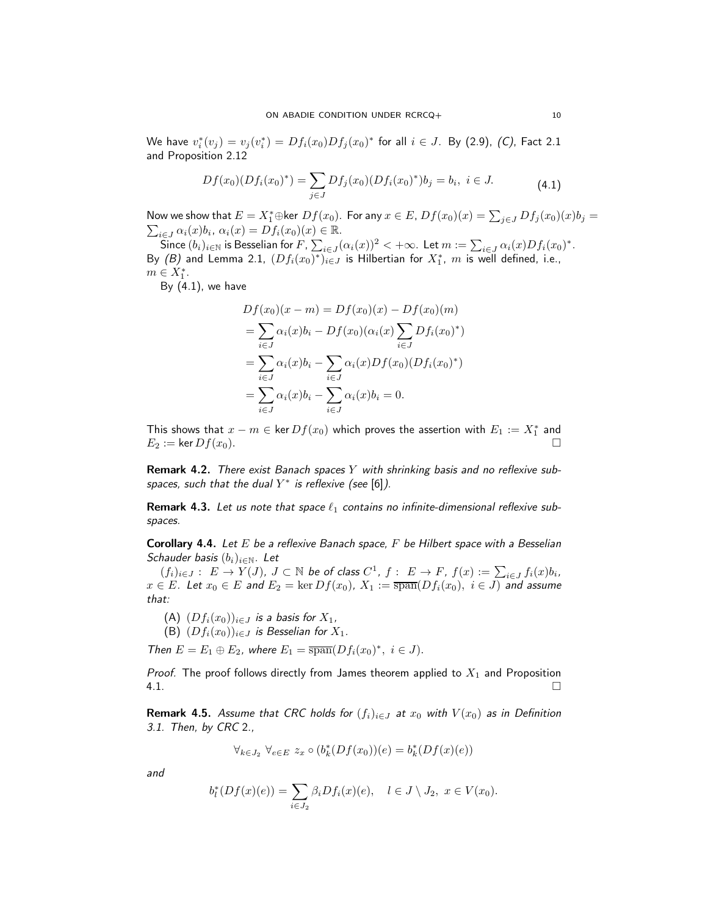We have  $v_i^*(v_j) = v_j(v_i^*) = Df_i(x_0)Df_j(x_0)^*$  for all  $i \in J$ . By [\(2.9\)](#page-4-3), [\(C\)](#page-8-8), Fact [2.1](#page-4-2) and Proposition [2.12](#page-5-1)

$$
Df(x_0)(Df_i(x_0)^*) = \sum_{j \in J} Df_j(x_0)(Df_i(x_0)^*)b_j = b_i, \ i \in J.
$$
 (4.1)

Now we show that  $E=X_1^*\oplus$ ker  $Df(x_0).$  For any  $x\in E$ ,  $Df(x_0)(x)=\sum_{j\in J}Df_j(x_0)(x)b_j=0$  $\sum_{i\in J}\alpha_i(x)b_i, \alpha_i(x)=Df_i(x_0)(x)\in\mathbb{R}.$ 

Since  $(b_i)_{i\in\mathbb N}$  is Besselian for  $F$  ,  $\sum_{i\in J}(\alpha_i(x))^2<+\infty.$  Let  $m:=\sum_{i\in J}\alpha_i(x)Df_i(x_0)^*.$ By [\(B\)](#page-8-9) and Lemma [2.1,](#page-6-2)  $(Df_i(x_0)^*)_{i\in J}$  is Hilbertian for  $X^*_1$ ,  $m$  is well defined, i.e.,  $m \in X_1^*$ .

By  $(4.1)$ , we have

<span id="page-9-0"></span>
$$
Df(x_0)(x - m) = Df(x_0)(x) - Df(x_0)(m)
$$
  
=  $\sum_{i \in J} \alpha_i(x)b_i - Df(x_0)(\alpha_i(x) \sum_{i \in J} Df_i(x_0)^*)$   
=  $\sum_{i \in J} \alpha_i(x)b_i - \sum_{i \in J} \alpha_i(x)Df(x_0)(Df_i(x_0)^*)$   
=  $\sum_{i \in J} \alpha_i(x)b_i - \sum_{i \in J} \alpha_i(x)b_i = 0.$ 

This shows that  $x - m \in \text{ker } Df(x_0)$  which proves the assertion with  $E_1 := X_1^*$  and  $E_2 := \ker Df(x_0).$ 

**Remark 4.2.** There exist Banach spaces  $Y$  with shrinking basis and no reflexive subspaces, such that the dual  $Y^*$  is reflexive (see [\[6\]](#page-19-20)).

Remark 4.3. Let us note that space  $\ell_1$  contains no infinite-dimensional reflexive subspaces.

**Corollary 4.4.** Let  $E$  be a reflexive Banach space,  $F$  be Hilbert space with a Besselian Schauder basis  $(b_i)_{i\in\mathbb{N}}$ . Let

 $(f_i)_{i\in J}:\ E\to Y(J),\ J\subset\mathbb{N}$  be of class  $C^1$ ,  $f:\ E\to F$ ,  $f(x):=\sum_{i\in J}f_i(x)b_i$ ,  $x\in E.$  Let  $x_0\in E$  and  $E_2=\ker Df(x_0),$   $X_1:=\overline{{\rm span}}(Df_i(x_0),\,\,i\in J)$  and assume that:

(A) 
$$
(Df_i(x_0))_{i \in J}
$$
 is a basis for  $X_1$ ,

(B)  $(Df_i(x_0))_{i\in I}$  is Besselian for  $X_1$ .

Then  $E = E_1 \oplus E_2$ , where  $E_1 = \overline{\text{span}}(Df_i(x_0)^*, i \in J)$ .

*Proof.* The proof follows directly from James theorem applied to  $X_1$  and Proposition  $4.1.$ 

<span id="page-9-1"></span>**Remark 4.5.** Assume that CRC holds for  $(f_i)_{i \in J}$  at  $x_0$  with  $V(x_0)$  as in Definition [3.1.](#page-7-3) Then, by CRC [2.](#page-7-2),

$$
\forall_{k \in J_2} \ \forall_{e \in E} \ z_x \circ (b_k^*(Df(x_0))(e) = b_k^*(Df(x)(e))
$$

and

$$
b_l^*(Df(x)(e)) = \sum_{i \in J_2} \beta_i Df_i(x)(e), \quad l \in J \setminus J_2, \ x \in V(x_0).
$$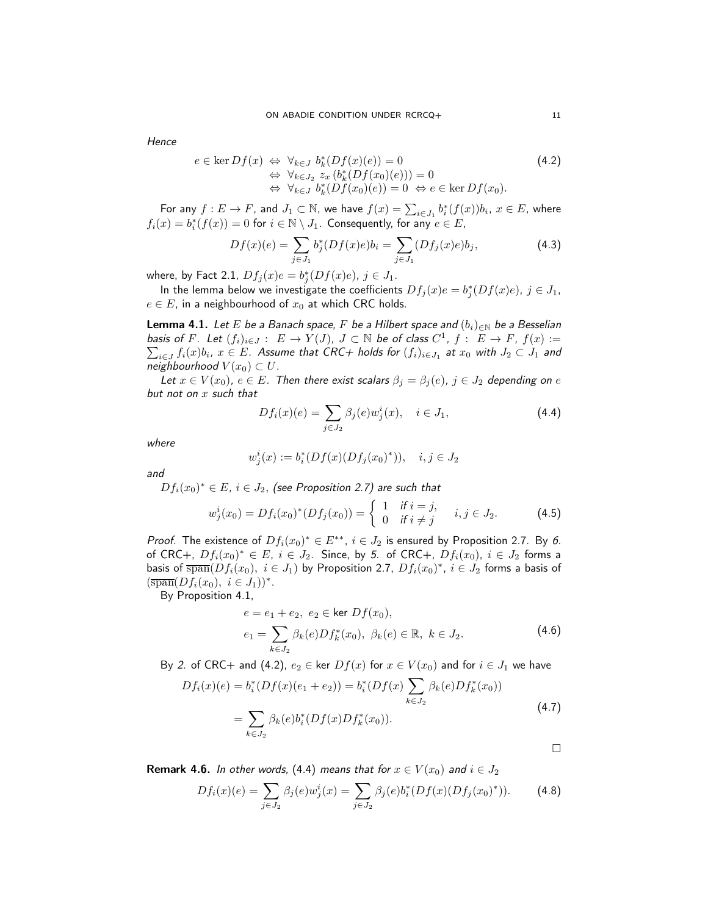**Hence** 

<span id="page-10-1"></span>
$$
e \in \ker Df(x) \Leftrightarrow \forall_{k \in J} b_k^* (Df(x)(e)) = 0 \qquad (4.2)
$$
  
\n
$$
\Leftrightarrow \forall_{k \in J_2} z_x (b_k^* (Df(x_0)(e))) = 0
$$
  
\n
$$
\Leftrightarrow \forall_{k \in J} b_k^* (Df(x_0)(e)) = 0 \Leftrightarrow e \in \ker Df(x_0).
$$

For any  $f: E \to F$ , and  $J_1 \subset \mathbb{N}$ , we have  $f(x) = \sum_{i \in J_1} b_i^*(f(x)) b_i$ ,  $x \in E$ , where  $f_i(x) = b_i^*(f(x)) = 0$  for  $i \in \mathbb{N} \setminus J_1$ . Consequently, for any  $e \in E$ ,

$$
Df(x)(e) = \sum_{j \in J_1} b_j^* (Df(x)e) b_i = \sum_{j \in J_1} (Df_j(x)e) b_j,
$$
 (4.3)

where, by Fact [2.1,](#page-4-2)  $Df_j(x)e = b_j^*(Df(x)e)$ ,  $j \in J_1$ .

In the lemma below we investigate the coefficients  $Df_j(x)e = b_j^*(Df(x)e)$ ,  $j \in J_1$ ,  $e \in E$ , in a neighbourhood of  $x_0$  at which CRC holds.

<span id="page-10-0"></span>**Lemma 4.1.** Let E be a Banach space, F be a Hilbert space and  $(b_i)_{i\in\mathbb{N}}$  be a Besselian basis of F. Let  $(f_i)_{i\in J}: E\to Y(J)$ ,  $J\subset\mathbb{N}$  be of class  $C^1$ basis of F. Let  $(f_i)_{i \in J} : E \to Y(J)$ ,  $J \subset \mathbb{N}$  be of class  $C^1$ ,  $f : E \to F$ ,  $f(x) := \sum_{i \in J} f_i(x) b_i$ ,  $x \in E$ . Assume that CRC+ holds for  $(f_i)_{i \in J_1}$  at  $x_0$  with  $J_2 \subset J_1$  and neighbourhood  $V(x_0) \subset U$ .

Let  $x \in V(x_0)$ ,  $e \in E$ . Then there exist scalars  $\beta_j = \beta_j(e)$ ,  $j \in J_2$  depending on e but not on  $x$  such that

<span id="page-10-2"></span>
$$
Df_i(x)(e) = \sum_{j \in J_2} \beta_j(e) w_j^i(x), \quad i \in J_1,
$$
\n(4.4)

where

$$
w_j^i(x) := b_i^*(Df(x)(Df_j(x_0)^*)), \quad i, j \in J_2
$$

and

 $Df_i(x_0)^* \in E$ ,  $i \in J_2,$  (see Proposition [2.7\)](#page-4-4) are such that

$$
w_j^i(x_0) = Df_i(x_0)^*(Df_j(x_0)) = \begin{cases} 1 & \text{if } i = j, \\ 0 & \text{if } i \neq j \end{cases} \quad i, j \in J_2. \tag{4.5}
$$

*Proof.* The existence of  $Df_i(x_0)^* \in E^{**}$ ,  $i \in J_2$  is ensured by Proposition [2.7.](#page-4-4) By [6.](#page-8-5) of CRC+,  $Df_i(x_0)^* \in E$ ,  $i \in J_2$ . Since, by [5.](#page-8-4) of CRC+,  $Df_i(x_0)$ ,  $i \in J_2$  forms a basis of  $\overline{\text{span}}(Df_i(x_0),\; i\in J_1)$  by Proposition [2.7,](#page-4-4)  $Df_i(x_0)^*,\; i\in J_2$  forms a basis of  $(\overline{\operatorname{span}}(Df_i(x_0), i \in J_1))^*$ .

By Proposition [4.1,](#page-8-1)

<span id="page-10-4"></span><span id="page-10-3"></span>
$$
e = e_1 + e_2, \ e_2 \in \ker Df(x_0),
$$
  
\n
$$
e_1 = \sum_{k \in J_2} \beta_k(e) Df_k^*(x_0), \ \beta_k(e) \in \mathbb{R}, \ k \in J_2.
$$
\n(4.6)

By [2.](#page-8-10) of CRC+ and [\(4.2\)](#page-10-1),  $e_2 \in \text{ker } Df(x)$  for  $x \in V(x_0)$  and for  $i \in J_1$  we have

$$
Df_i(x)(e) = b_i^*(Df(x)(e_1 + e_2)) = b_i^*(Df(x) \sum_{k \in J_2} \beta_k(e) Df_k^*(x_0))
$$
  
= 
$$
\sum_{k \in J_2} \beta_k(e)b_i^*(Df(x)Df_k^*(x_0)).
$$
 (4.7)

**Remark 4.6.** In other words, [\(4.4\)](#page-10-2) means that for  $x \in V(x_0)$  and  $i \in J_2$ 

$$
Df_i(x)(e) = \sum_{j \in J_2} \beta_j(e) w_j^i(x) = \sum_{j \in J_2} \beta_j(e) b_i^* (Df(x)(Df_j(x_0)^*)).
$$
 (4.8)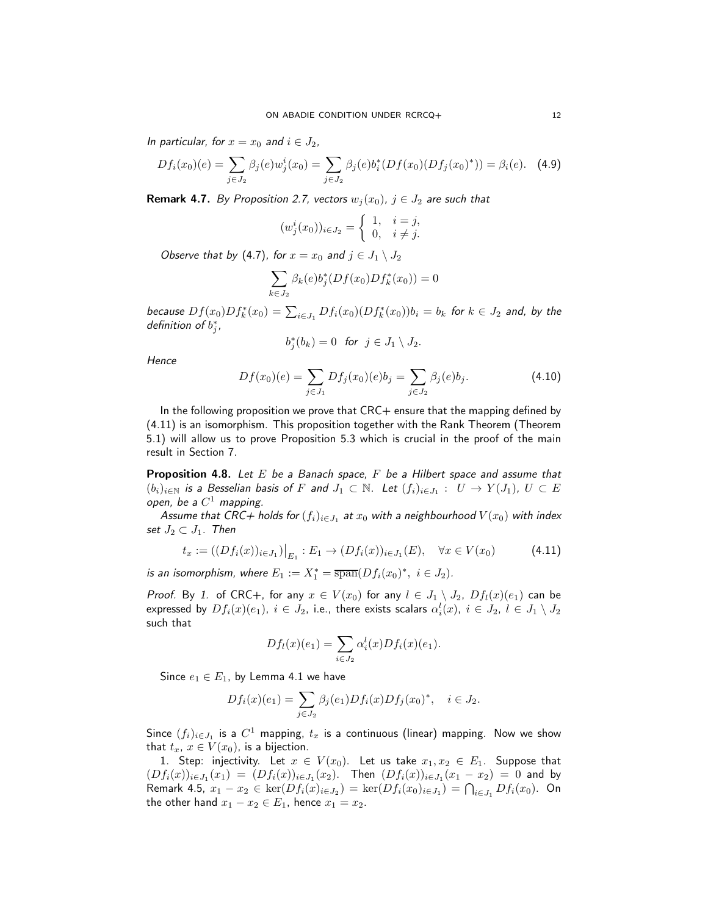In particular, for  $x = x_0$  and  $i \in J_2$ ,

$$
Df_i(x_0)(e) = \sum_{j \in J_2} \beta_j(e) w_j^i(x_0) = \sum_{j \in J_2} \beta_j(e) b_i^*(Df(x_0)(Df_j(x_0)^*)) = \beta_i(e). \tag{4.9}
$$

**Remark 4.7.** By Proposition [2.7,](#page-4-4) vectors  $w_i(x_0)$ ,  $j \in J_2$  are such that

$$
(w_j^i(x_0))_{i \in J_2} = \begin{cases} 1, & i = j, \\ 0, & i \neq j. \end{cases}
$$

Observe that by [\(4.7\)](#page-10-3), for  $x = x_0$  and  $j \in J_1 \setminus J_2$ 

$$
\sum_{k \in J_2} \beta_k(e) b_j^*(Df(x_0) Df_k^*(x_0)) = 0
$$

because  $Df(x_0)Df_k^*(x_0) = \sum_{i\in J_1}Df_i(x_0)(Df_k^*(x_0))b_i = b_k$  for  $k\in J_2$  and, by the definition of  $b_j^*$ ,

$$
b_j^*(b_k) = 0 \text{ for } j \in J_1 \setminus J_2.
$$

**Hence** 

$$
Df(x_0)(e) = \sum_{j \in J_1} Df_j(x_0)(e)b_j = \sum_{j \in J_2} \beta_j(e)b_j.
$$
 (4.10)

In the following proposition we prove that CRC+ ensure that the mapping defined by [\(4.11\)](#page-11-1) is an isomorphism. This proposition together with the Rank Theorem (Theorem [5.1\)](#page-12-0) will allow us to prove Proposition [5.3](#page-13-0) which is crucial in the proof of the main result in Section [7.](#page-14-2)

<span id="page-11-0"></span>**Proposition 4.8.** Let E be a Banach space, F be a Hilbert space and assume that  $(b_i)_{i\in\mathbb{N}}$  is a Besselian basis of  $F$  and  $J_1\subset\mathbb{N}$ . Let  $(f_i)_{i\in J_1}:\;\;U\to Y(J_1),\;U\subset E$ open, be a  $C^1$  mapping.

Assume that CRC+ holds for  $(f_i)_{i\in J_1}$  at  $x_0$  with a neighbourhood  $V(x_0)$  with index set  $J_2 \subset J_1$ . Then

<span id="page-11-1"></span>
$$
t_x := ((Df_i(x))_{i \in J_1})|_{E_1} : E_1 \to (Df_i(x))_{i \in J_1}(E), \quad \forall x \in V(x_0)
$$
\n(4.11)

is an isomorphism, where  $E_1 := X_1^* = \overline{\text{span}}(Df_i(x_0)^*, i \in J_2)$ .

*Proof.* By [1.](#page-8-11) of CRC+, for any  $x \in V(x_0)$  for any  $l \in J_1 \setminus J_2$ ,  $Df_l(x)(e_1)$  can be expressed by  $Df_i(x)(e_1),\; i\in J_2,$  i.e., there exists scalars  $\alpha_i^l(x),\; i\in J_2,\; l\in J_1\setminus J_2$ such that

$$
Df_l(x)(e_1) = \sum_{i \in J_2} \alpha_i^l(x) Df_i(x)(e_1).
$$

Since  $e_1 \in E_1$ , by Lemma [4.1](#page-10-0) we have

$$
Df_i(x)(e_1) = \sum_{j \in J_2} \beta_j(e_1) Df_i(x) Df_j(x_0)^*, \quad i \in J_2.
$$

Since  $(f_i)_{i\in J_1}$  is a  $C^1$  mapping,  $t_x$  is a continuous (linear) mapping. Now we show that  $t_x$ ,  $x \in V(x_0)$ , is a bijection.

1. Step: injectivity. Let  $x \in V(x_0)$ . Let us take  $x_1, x_2 \in E_1$ . Suppose that  $(Df_i(x))_{i\in J_1}(x_1) = (Df_i(x))_{i\in J_1}(x_2)$ . Then  $(Df_i(x))_{i\in J_1}(x_1 - x_2) = 0$  and by Remark [4.5,](#page-9-1)  $x_1 - x_2 \in \text{ker}(Df_i(x)_{i \in J_2}) = \text{ker}(Df_i(x_0)_{i \in J_1}) = \bigcap_{i \in J_1} Df_i(x_0)$ . On the other hand  $x_1 - x_2 \in E_1$ , hence  $x_1 = x_2$ .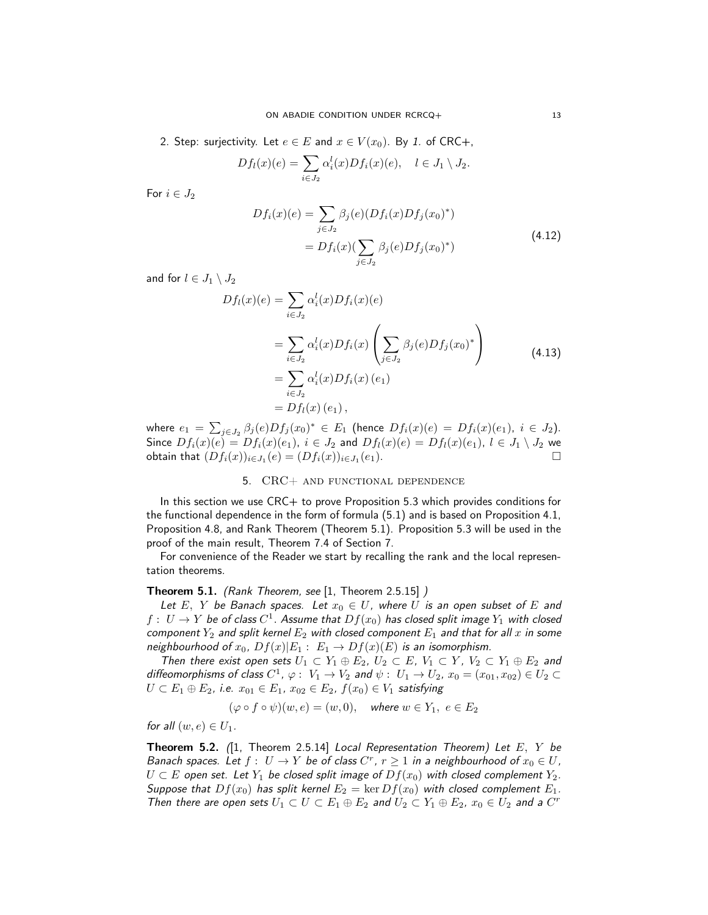2. Step: surjectivity. Let  $e \in E$  and  $x \in V(x_0)$ . By [1.](#page-8-11) of CRC+,

$$
Df_l(x)(e) = \sum_{i \in J_2} \alpha_i^l(x) Df_i(x)(e), \quad l \in J_1 \setminus J_2.
$$

For  $i \in J_2$ 

$$
Df_i(x)(e) = \sum_{j \in J_2} \beta_j(e)(Df_i(x)Df_j(x_0)^*)
$$
  
=  $Df_i(x)(\sum_{j \in J_2} \beta_j(e)Df_j(x_0)^*)$  (4.12)

and for  $l \in J_1 \setminus J_2$ 

$$
Df_l(x)(e) = \sum_{i \in J_2} \alpha_i^l(x) Df_i(x)(e)
$$
  
= 
$$
\sum_{i \in J_2} \alpha_i^l(x) Df_i(x) \left( \sum_{j \in J_2} \beta_j(e) Df_j(x_0)^* \right)
$$
  
= 
$$
\sum_{i \in J_2} \alpha_i^l(x) Df_i(x) (e_1)
$$
  
= 
$$
Df_l(x) (e_1),
$$
 (4.13)

where  $e_1 = \sum_{j \in J_2} \beta_j(e) Df_j(x_0)^* \in E_1$  (hence  $Df_i(x)(e) = Df_i(x)(e_1), i \in J_2$ ). Since  $Df_i(x)(e) = Df_i(x)(e_1)$ ,  $i \in J_2$  and  $Df_i(x)(e) = Df_i(x)(e_1)$ ,  $l \in J_1 \setminus J_2$  we obtain that  $(Df_i(x))_{i\in J_1}(e)=(Df_i(x))_{i\in J_1}$  $(e_1)$ .

## 5. CRC+ and functional dependence

<span id="page-12-1"></span>In this section we use CRC+ to prove Proposition [5.3](#page-13-0) which provides conditions for the functional dependence in the form of formula [\(5.1\)](#page-13-1) and is based on Proposition [4.1,](#page-8-1) Proposition [4.8,](#page-11-0) and Rank Theorem (Theorem [5.1\)](#page-12-0). Proposition [5.3](#page-13-0) will be used in the proof of the main result, Theorem [7.4](#page-16-0) of Section [7.](#page-14-2)

For convenience of the Reader we start by recalling the rank and the local representation theorems.

## <span id="page-12-0"></span>Theorem 5.1. (Rank Theorem, see [\[1,](#page-19-12) Theorem 2.5.15] )

Let E, Y be Banach spaces. Let  $x_0 \in U$ , where U is an open subset of E and  $f:\; U\rightarrow Y$  be of class  $C^1.$  Assume that  $Df(x_0)$  has closed split image  $Y_1$  with closed component  $Y_2$  and split kernel  $E_2$  with closed component  $E_1$  and that for all  $x$  in some neighbourhood of  $x_0$ ,  $Df(x)|E_1 : E_1 \rightarrow Df(x)(E)$  is an isomorphism.

Then there exist open sets  $U_1 \subset Y_1 \oplus E_2$ ,  $U_2 \subset E$ ,  $V_1 \subset Y$ ,  $V_2 \subset Y_1 \oplus E_2$  and diffeomorphisms of class  $C^1$ ,  $\varphi: V_1 \to V_2$  and  $\psi: U_1 \to U_2$ ,  $x_0 = (x_{01}, x_{02}) \in U_2 \subset$  $U \subset E_1 \oplus E_2$ , i.e.  $x_{01} \in E_1$ ,  $x_{02} \in E_2$ ,  $f(x_0) \in V_1$  satisfying

$$
(\varphi \circ f \circ \psi)(w, e) = (w, 0),
$$
 where  $w \in Y_1, e \in E_2$ 

for all  $(w, e) \in U_1$ .

<span id="page-12-2"></span>**Theorem 5.2.** (1, Theorem 2.5.14) Local Representation Theorem) Let E, Y be Banach spaces. Let  $f: U \to Y$  be of class  $C^r$ ,  $r \geq 1$  in a neighbourhood of  $x_0 \in U$ ,  $U \subset E$  open set. Let  $Y_1$  be closed split image of  $Df(x_0)$  with closed complement  $Y_2$ . Suppose that  $Df(x_0)$  has split kernel  $E_2 = \ker Df(x_0)$  with closed complement  $E_1$ . Then there are open sets  $U_1 \subset U \subset E_1 \oplus E_2$  and  $U_2 \subset Y_1 \oplus E_2$ ,  $x_0 \in U_2$  and a  $C^r$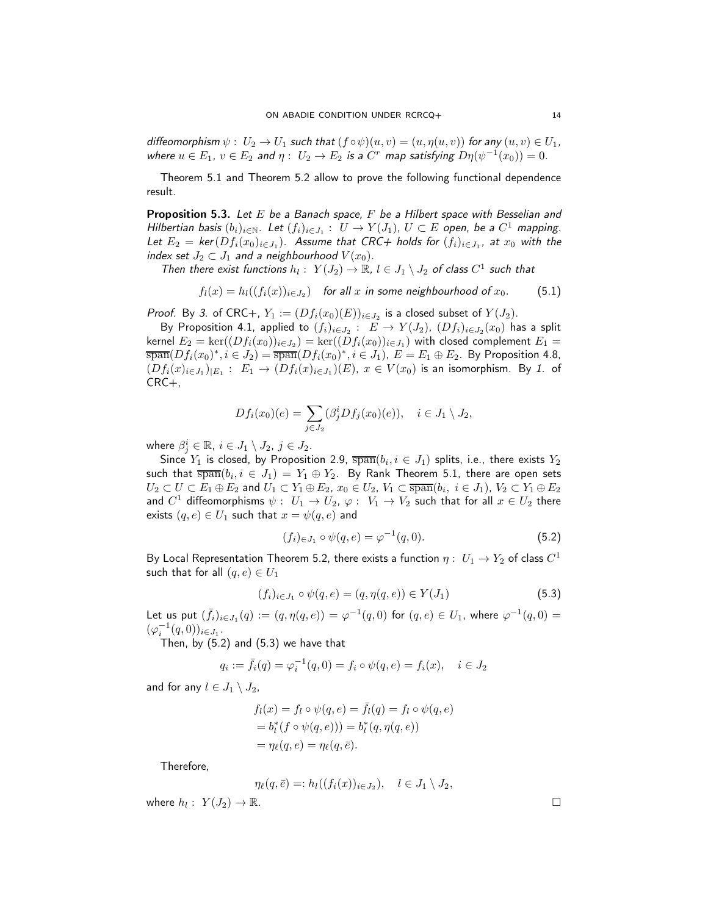diffeomorphism  $\psi: U_2 \to U_1$  such that  $(f \circ \psi)(u, v) = (u, \eta(u, v))$  for any  $(u, v) \in U_1$ , where  $u \in E_1$ ,  $v \in E_2$  and  $\eta: U_2 \to E_2$  is a  $C^r$  map satisfying  $D\eta(\psi^{-1}(x_0)) = 0$ .

Theorem [5.1](#page-12-0) and Theorem [5.2](#page-12-2) allow to prove the following functional dependence result.

<span id="page-13-0"></span>**Proposition 5.3.** Let E be a Banach space, F be a Hilbert space with Besselian and Hilbertian basis  $(b_i)_{i\in\mathbb{N}}$ . Let  $(f_i)_{i\in J_1}$ :  $U \to Y(J_1)$ ,  $U \subset E$  open, be a  $C^1$  mapping. Let  $E_2 = \text{ker}(Df_i(x_0)_{i \in J_1})$ . Assume that CRC+ holds for  $(f_i)_{i \in J_1}$ , at  $x_0$  with the index set  $J_2 \subset J_1$  and a neighbourhood  $V(x_0)$ .

Then there exist functions  $h_l: Y(J_2) \to \mathbb{R}, l \in J_1 \setminus J_2$  of class  $C^1$  such that

<span id="page-13-1"></span>
$$
f_l(x) = h_l((f_i(x))_{i \in J_2})
$$
 for all x in some neighbourhood of  $x_0$ . (5.1)

*Proof.* By [3.](#page-8-6) of CRC+,  $Y_1 := (Df_i(x_0)(E))_{i \in J_2}$  is a closed subset of  $Y(J_2)$ .

By Proposition [4.1,](#page-8-1) applied to  $(f_i)_{i\in J_2}:~E\rightarrow Y(J_2)$ ,  $(Df_i)_{i\in J_2}(x_0)$  has a split kernel  $E_2 = \ker((Df_i(x_0))_{i \in J_2}) = \ker((Df_i(x_0))_{i \in J_1})$  with closed complement  $E_1 =$  $\overline{\text{span}}(Df_i(x_0)^*, i \in J_2) = \overline{\text{span}}(Df_i(x_0)^*, i \in J_1), E = E_1 \oplus E_2$ . By Proposition [4.8,](#page-11-0)  $(Df_i(x)_{i\in J_1})_{|E_1}:~E_1\rightarrow (Df_i(x)_{i\in J_1})(E)$ ,  $x\in V(x_0)$  is an isomorphism. By [1.](#page-8-11) of CRC+,

$$
Df_i(x_0)(e) = \sum_{j \in J_2} (\beta_j^i Df_j(x_0)(e)), \quad i \in J_1 \setminus J_2,
$$

where  $\beta^i_j \in \mathbb{R}, \ i \in J_1 \setminus J_2, \ j \in J_2.$ 

Since  $Y_1$  is closed, by Proposition [2.9,](#page-4-5)  $\overline{\text{span}}(b_i, i \in J_1)$  splits, i.e., there exists  $Y_2$ such that  $\overline{\text{span}}(b_i, i\,\in\, J_1)\,=\,Y_1\oplus Y_2.$  By Rank Theorem [5.1,](#page-12-0) there are open sets  $U_2\subset U\subset E_1\oplus E_2$  and  $U_1\subset Y_1\oplus E_2$ ,  $x_0\in U_2$ ,  $V_1\subset \overline{\text{span}}(b_i,\;i\in J_1),\,V_2\subset Y_1\oplus E_2$ and  $C^1$  diffeomorphisms  $\psi: \; U_1 \to U_2, \, \varphi: \; V_1 \to V_2$  such that for all  $x \in U_2$  there exists  $(q, e) \in U_1$  such that  $x = \psi(q, e)$  and

<span id="page-13-2"></span>
$$
(f_i)_{\in J_1} \circ \psi(q, e) = \varphi^{-1}(q, 0). \tag{5.2}
$$

By Local Representation Theorem [5.2,](#page-12-2) there exists a function  $\eta: \ U_1 \to Y_2$  of class  $C^1$ such that for all  $(q, e) \in U_1$ 

<span id="page-13-3"></span>
$$
(f_i)_{i \in J_1} \circ \psi(q, e) = (q, \eta(q, e)) \in Y(J_1)
$$
\n(5.3)

Let us put  $(\bar{f}_i)_{i \in J_1}(q) := (q, \eta(q, e)) = \varphi^{-1}(q, 0)$  for  $(q, e) \in U_1$ , where  $\varphi^{-1}(q, 0) =$  $(\varphi_i^{-1}(q,0))_{i\in J_1}.$ 

Then, by [\(5.2\)](#page-13-2) and [\(5.3\)](#page-13-3) we have that

$$
q_i := \bar{f}_i(q) = \varphi_i^{-1}(q, 0) = f_i \circ \psi(q, e) = f_i(x), \quad i \in J_2
$$

and for any  $l \in J_1 \setminus J_2$ ,

$$
f_l(x) = f_l \circ \psi(q, e) = \bar{f}_l(q) = f_l \circ \psi(q, e)
$$
  
=  $b_l^*(f \circ \psi(q, e))) = b_l^*(q, \eta(q, e))$   
=  $\eta_\ell(q, e) = \eta_\ell(q, \bar{e}).$ 

Therefore,

$$
\eta_{\ell}(q,\bar{e}) =: h_l((f_i(x))_{i \in J_2}), \quad l \in J_1 \setminus J_2,
$$

where  $h_l: Y(J_2) \to \mathbb{R}$ .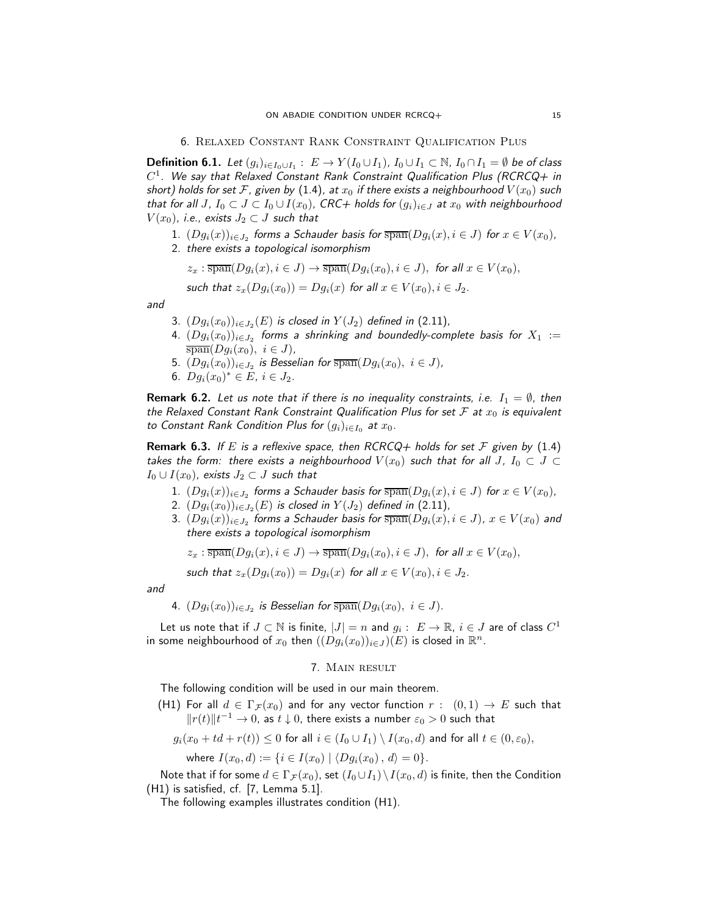<span id="page-14-0"></span>6. Relaxed Constant Rank Constraint Qualification Plus

<span id="page-14-1"></span>**Definition 6.1.** Let  $(g_i)_{i\in I_0\cup I_1}:\ E\to Y(I_0\cup I_1)$ ,  $I_0\cup I_1\subset\mathbb{N}$ ,  $I_0\cap I_1=\emptyset$  be of class  $C^1.$  We say that Relaxed Constant Rank Constraint Qualification Plus (RCRCQ+ in short) holds for set F, given by [\(1.4\)](#page-1-3), at  $x_0$  if there exists a neighbourhood  $V(x_0)$  such that for all J,  $I_0 \subset J \subset I_0 \cup I(x_0)$ , CRC+ holds for  $(g_i)_{i \in J}$  at  $x_0$  with neighbourhood  $V(x_0)$ , i.e., exists  $J_2 \subset J$  such that

- $1. \,\, (Dg_i(x))_{i\in J_2}$  forms a Schauder basis for  $\overline{\operatorname{span}}(Dg_i(x), i\in J)$  for  $x\in V(x_0),$
- 2. there exists a topological isomorphism

$$
z_x : \overline{\operatorname{span}}(Dg_i(x), i \in J) \to \overline{\operatorname{span}}(Dg_i(x_0), i \in J), \text{ for all } x \in V(x_0),
$$

such that 
$$
z_x(Dg_i(x_0)) = Dg_i(x)
$$
 for all  $x \in V(x_0), i \in J_2$ .

and

- 3.  $(Dg_i(x_0))_{i\in J_2}(E)$  is closed in  $Y(J_2)$  defined in [\(2.11\)](#page-6-0),
- 4.  $(Dg_i(x_0))_{i\in J_2}$  forms a shrinking and boundedly-complete basis for  $X_1\,:=\,$  $\overline{\operatorname{span}}(Dg_i(x_0), i \in J),$
- 5.  $(Dg_i(x_0))_{i\in J_2}$  is Besselian for  $\overline{\text{span}}(Dg_i(x_0), i\in J)$ ,
- 6.  $Dg_i(x_0)^* \in E$ ,  $i \in J_2$ .

**Remark 6.2.** Let us note that if there is no inequality constraints, i.e.  $I_1 = \emptyset$ , then the Relaxed Constant Rank Constraint Qualification Plus for set  $F$  at  $x_0$  is equivalent to Constant Rank Condition Plus for  $(g_i)_{i\in I_0}$  at  $x_0$ .

**Remark 6.3.** If E is a reflexive space, then RCRCQ+ holds for set F given by [\(1.4\)](#page-1-3) takes the form: there exists a neighbourhood  $V(x_0)$  such that for all J,  $I_0 \subset J \subset I$  $I_0 \cup I(x_0)$ , exists  $J_2 \subset J$  such that

- $1. \,\, (Dg_i(x))_{i\in J_2}$  forms a Schauder basis for  $\overline{\operatorname{span}}(Dg_i(x), i\in J)$  for  $x\in V(x_0),$
- 2.  $(Dg_i(x_0))_{i\in J_2}(E)$  is closed in  $Y(J_2)$  defined in [\(2.11\)](#page-6-0),
- 3.  $(Dg_i(x))_{i\in J_2}$  forms a Schauder basis for  $\overline{\text{span}}(Dg_i(x), i\in J)$ ,  $x\in V(x_0)$  and there exists a topological isomorphism

 $z_x : \overline{\text{span}}(Dg_i(x), i \in J) \to \overline{\text{span}}(Dg_i(x_0), i \in J)$ , for all  $x \in V(x_0)$ ,

such that  $z_x(Dg_i(x_0)) = Dg_i(x)$  for all  $x \in V(x_0), i \in J_2$ .

and

4.  $(Dg_i(x_0))_{i\in J_2}$  is Besselian for  $\overline{\text{span}}(Dg_i(x_0), i\in J)$ .

<span id="page-14-2"></span>Let us note that if  $J\subset \mathbb{N}$  is finite,  $|J|=n$  and  $g_i:\; E\to \mathbb{R},\,i\in J$  are of class  $C^1$ in some neighbourhood of  $x_0$  then  $((Dg_i(x_0))_{i\in J})(E)$  is closed in  $\mathbb{R}^n$ .

### 7. Main result

<span id="page-14-3"></span>The following condition will be used in our main theorem.

(H1) For all  $d \in \Gamma_{\mathcal{F}}(x_0)$  and for any vector function  $r : (0,1) \to E$  such that  $\|r(t)\|t^{-1}\to 0$ , as  $t\downarrow 0$ , there exists a number  $\varepsilon_0>0$  such that

$$
g_i(x_0+td+r(t))\leq 0 \text{ for all } i\in (I_0\cup I_1)\setminus I(x_0,d) \text{ and for all } t\in (0,\varepsilon_0),
$$

where  $I(x_0, d) := \{i \in I(x_0) \mid \langle Dg_i(x_0), d \rangle = 0\}.$ 

Note that if for some  $d \in \Gamma_{\mathcal{F}}(x_0)$ , set  $(I_0 \cup I_1) \setminus I(x_0, d)$  is finite, then the Condition [\(H1\)](#page-14-3) is satisfied, cf. [\[7,](#page-19-3) Lemma 5.1].

The following examples illustrates condition [\(H1\).](#page-14-3)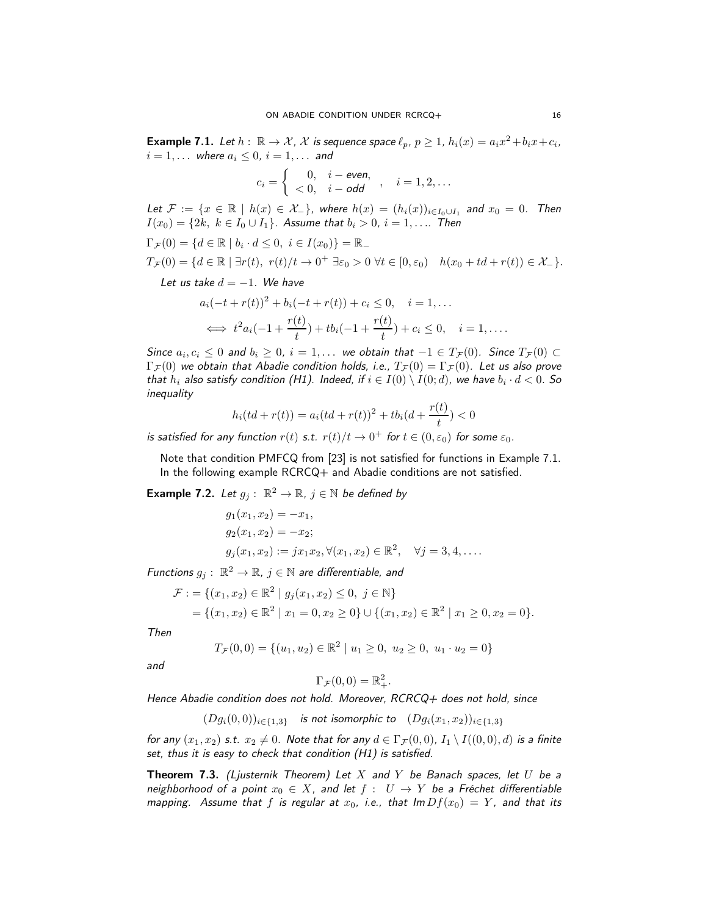<span id="page-15-0"></span>**Example 7.1.** Let  $h: \mathbb{R} \to \mathcal{X}$ ,  $\mathcal{X}$  is sequence space  $\ell_p$ ,  $p \geq 1$ ,  $h_i(x) = a_i x^2 + b_i x + c_i$ ,  $i = 1, \ldots$  where  $a_i \leq 0$ ,  $i = 1, \ldots$  and

$$
c_i = \left\{ \begin{array}{cc} 0, & i = \text{even}, \\ <0, & i - \text{odd} \end{array} \right., \quad i = 1, 2, \ldots
$$

Let  $\mathcal{F} := \{x \in \mathbb{R} \mid h(x) \in \mathcal{X}_-\}$ , where  $h(x) = (h_i(x))_{i \in I_0 \cup I_1}$  and  $x_0 = 0$ . Then  $I(x_0) = \{2k, k \in I_0 \cup I_1\}$ . Assume that  $b_i > 0$ ,  $i = 1, \ldots$  Then

$$
\Gamma_{\mathcal{F}}(0) = \{d \in \mathbb{R} \mid b_i \cdot d \le 0, \ i \in I(x_0)\} = \mathbb{R}_-
$$
  

$$
T_{\mathcal{F}}(0) = \{d \in \mathbb{R} \mid \exists r(t), \ r(t)/t \to 0^+ \exists \varepsilon_0 > 0 \ \forall t \in [0, \varepsilon_0) \quad h(x_0 + td + r(t)) \in \mathcal{X}_-\}.
$$

Let us take  $d = -1$ . We have

$$
a_i(-t + r(t))^2 + b_i(-t + r(t)) + c_i \le 0, \quad i = 1, ...
$$
  

$$
\iff t^2 a_i(-1 + \frac{r(t)}{t}) + t b_i(-1 + \frac{r(t)}{t}) + c_i \le 0, \quad i = 1, ...
$$

Since  $a_i, c_i \leq 0$  and  $b_i \geq 0$ ,  $i = 1, \ldots$  we obtain that  $-1 \in T_{\mathcal{F}}(0)$ . Since  $T_{\mathcal{F}}(0) \subset$  $\Gamma_{\mathcal{F}}(0)$  we obtain that Abadie condition holds, i.e.,  $T_{\mathcal{F}}(0) = \Gamma_{\mathcal{F}}(0)$ . Let us also prove that  $h_i$  also satisfy condition [\(H1\).](#page-14-3) Indeed, if  $i\in I(0)\setminus I(0;d)$ , we have  $b_i\cdot d < 0.$  So inequality

$$
h_i(td + r(t)) = a_i(td + r(t))^2 + tb_i(d + \frac{r(t)}{t}) < 0
$$

is satisfied for any function  $r(t)$  s.t.  $r(t)/t \to 0^+$  for  $t \in (0, \varepsilon_0)$  for some  $\varepsilon_0$ .

Note that condition PMFCQ from [\[23\]](#page-19-8) is not satisfied for functions in Example [7.1.](#page-15-0) In the following example RCRCQ+ and Abadie conditions are not satisfied.

**Example 7.2.** Let  $g_j: \mathbb{R}^2 \to \mathbb{R}$ ,  $j \in \mathbb{N}$  be defined by

$$
g_1(x_1, x_2) = -x_1,
$$
  
\n
$$
g_2(x_1, x_2) = -x_2;
$$
  
\n
$$
g_j(x_1, x_2) := jx_1x_2, \forall (x_1, x_2) \in \mathbb{R}^2, \quad \forall j = 3, 4, ....
$$

Functions  $g_j: \ \mathbb{R}^2 \to \mathbb{R}$ ,  $j \in \mathbb{N}$  are differentiable, and

$$
\mathcal{F} := \{ (x_1, x_2) \in \mathbb{R}^2 \mid g_j(x_1, x_2) \le 0, \ j \in \mathbb{N} \} \n= \{ (x_1, x_2) \in \mathbb{R}^2 \mid x_1 = 0, x_2 \ge 0 \} \cup \{ (x_1, x_2) \in \mathbb{R}^2 \mid x_1 \ge 0, x_2 = 0 \}.
$$

Then

$$
T_{\mathcal{F}}(0,0) = \{(u_1, u_2) \in \mathbb{R}^2 \mid u_1 \ge 0, u_2 \ge 0, u_1 \cdot u_2 = 0\}
$$

and

$$
\Gamma_{\mathcal{F}}(0,0) = \mathbb{R}^2_+.
$$

Hence Abadie condition does not hold. Moreover, RCRCQ+ does not hold, since

 $(Dg_i(0,0))_{i\in\{1,3\}}$  is not isomorphic to  $(Dg_i(x_1,x_2))_{i\in\{1,3\}}$ 

for any  $(x_1, x_2)$  s.t.  $x_2 \neq 0$ . Note that for any  $d \in \Gamma_{\mathcal{F}}(0,0)$ ,  $I_1 \setminus I((0,0), d)$  is a finite set, thus it is easy to check that condition [\(H1\)](#page-14-3) is satisfied.

<span id="page-15-1"></span>**Theorem 7.3.** (Ljusternik Theorem) Let  $X$  and  $Y$  be Banach spaces, let  $U$  be a neighborhood of a point  $x_0 \in X$ , and let  $f : U \to Y$  be a Fréchet differentiable mapping. Assume that f is regular at  $x_0$ , i.e., that  $\text{Im } Df(x_0) = Y$ , and that its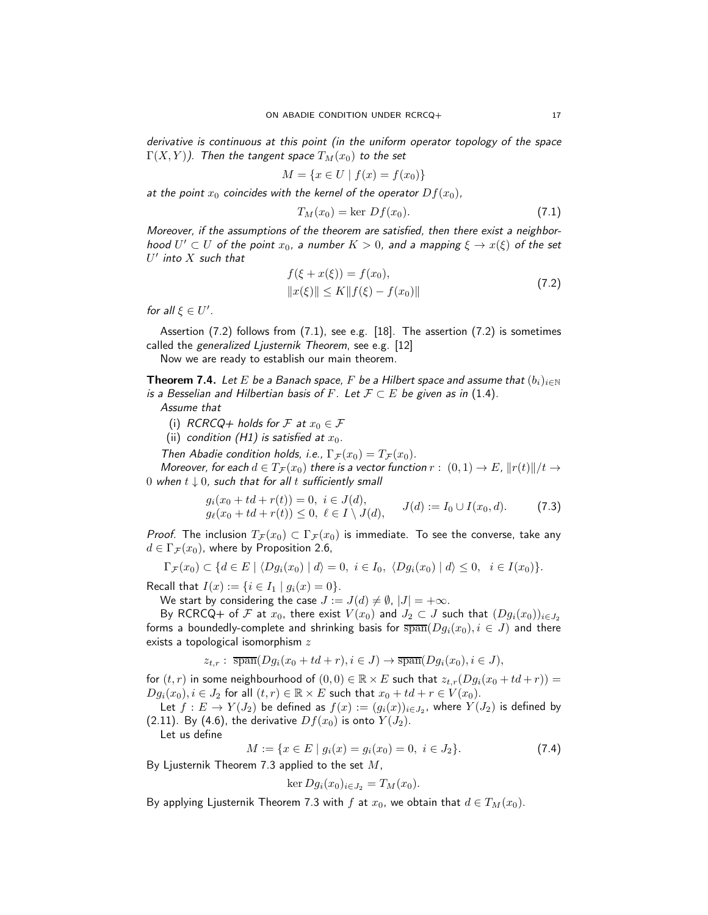derivative is continuous at this point (in the uniform operator topology of the space  $\Gamma(X, Y)$ ). Then the tangent space  $T_M(x_0)$  to the set

$$
M = \{ x \in U \mid f(x) = f(x_0) \}
$$

at the point  $x_0$  coincides with the kernel of the operator  $Df(x_0)$ ,

<span id="page-16-2"></span><span id="page-16-1"></span>
$$
T_M(x_0) = \ker Df(x_0). \tag{7.1}
$$

Moreover, if the assumptions of the theorem are satisfied, then there exist a neighborhood  $U' \subset U$  of the point  $x_0$ , a number  $K > 0$ , and a mapping  $\xi \to x(\xi)$  of the set  $U'$  into  $X$  such that

$$
f(\xi + x(\xi)) = f(x_0),
$$
  
\n
$$
||x(\xi)|| \le K ||f(\xi) - f(x_0)||
$$
\n(7.2)

for all  $\xi \in U'$ .

Assertion [\(7.2\)](#page-16-1) follows from [\(7.1\)](#page-16-2), see e.g. [\[18\]](#page-19-21). The assertion [\(7.2\)](#page-16-1) is sometimes called the generalized Ljusternik Theorem, see e.g. [\[12\]](#page-19-22)

Now we are ready to establish our main theorem.

<span id="page-16-0"></span>**Theorem 7.4.** Let E be a Banach space, F be a Hilbert space and assume that  $(b_i)_{i\in\mathbb{N}}$ is a Besselian and Hilbertian basis of F. Let  $\mathcal{F} \subset E$  be given as in [\(1.4\)](#page-1-3).

Assume that

- (i) RCRCQ+ holds for F at  $x_0 \in \mathcal{F}$
- (ii) condition [\(H1\)](#page-14-3) is satisfied at  $x_0$ .

Then Abadie condition holds, i.e.,  $\Gamma_{\mathcal{F}}(x_0) = T_{\mathcal{F}}(x_0)$ .

Moreover, for each  $d \in T_{\mathcal{F}}(x_0)$  there is a vector function  $r: (0,1) \to E$ ,  $||r(t)||/t \to$ 0 when  $t \downarrow 0$ , such that for all t sufficiently small

$$
g_i(x_0 + td + r(t)) = 0, \ i \in J(d), g_{\ell}(x_0 + td + r(t)) \le 0, \ \ell \in I \setminus J(d), \qquad J(d) := I_0 \cup I(x_0, d). \tag{7.3}
$$

*Proof.* The inclusion  $T_{\mathcal{F}}(x_0) \subset \Gamma_{\mathcal{F}}(x_0)$  is immediate. To see the converse, take any  $d \in \Gamma_{\mathcal{F}}(x_0)$ , where by Proposition [2.6,](#page-4-6)

$$
\Gamma_{\mathcal{F}}(x_0) \subset \{d \in E \mid \langle Dg_i(x_0) \mid d \rangle = 0, \ i \in I_0, \ \langle Dg_i(x_0) \mid d \rangle \leq 0, \ i \in I(x_0) \}.
$$

Recall that  $I(x) := \{i \in I_1 \mid g_i(x) = 0\}.$ 

We start by considering the case  $J := J(d) \neq \emptyset$ ,  $|J| = +\infty$ .

By RCRCQ+ of F at  $x_0$ , there exist  $V(x_0)$  and  $J_2 \subset J$  such that  $(Dg_i(x_0))_{i \in J_2}$ forms a boundedly-complete and shrinking basis for  $\overline{\text{span}}(Dg_i(x_0), i \in J)$  and there exists a topological isomorphism  $z$ 

$$
z_{t,r}:\ \overline{\operatorname{span}}(Dg_i(x_0+td+r), i\in J)\to \overline{\operatorname{span}}(Dg_i(x_0), i\in J),
$$

for  $(t, r)$  in some neighbourhood of  $(0, 0) \in \mathbb{R} \times E$  such that  $z_{t,r}(Dg_i(x_0 + td + r)) =$  $Dg_i(x_0), i \in J_2$  for all  $(t, r) \in \mathbb{R} \times E$  such that  $x_0 + td + r \in V(x_0)$ .

Let  $f:E\to Y(J_2)$  be defined as  $f(x):=(g_i(x))_{i\in J_2}$ , where  $Y(J_2)$  is defined by [\(2.11\)](#page-6-0). By [\(4.6\)](#page-10-4), the derivative  $Df(x_0)$  is onto  $Y(J_2)$ .

Let us define

$$
M := \{ x \in E \mid g_i(x) = g_i(x_0) = 0, \ i \in J_2 \}. \tag{7.4}
$$

By Ljusternik Theorem [7.3](#page-15-1) applied to the set  $M$ ,

$$
\ker Dg_i(x_0)_{i\in J_2} = T_M(x_0).
$$

By applying Ljusternik Theorem [7.3](#page-15-1) with f at  $x_0$ , we obtain that  $d \in T_M(x_0)$ .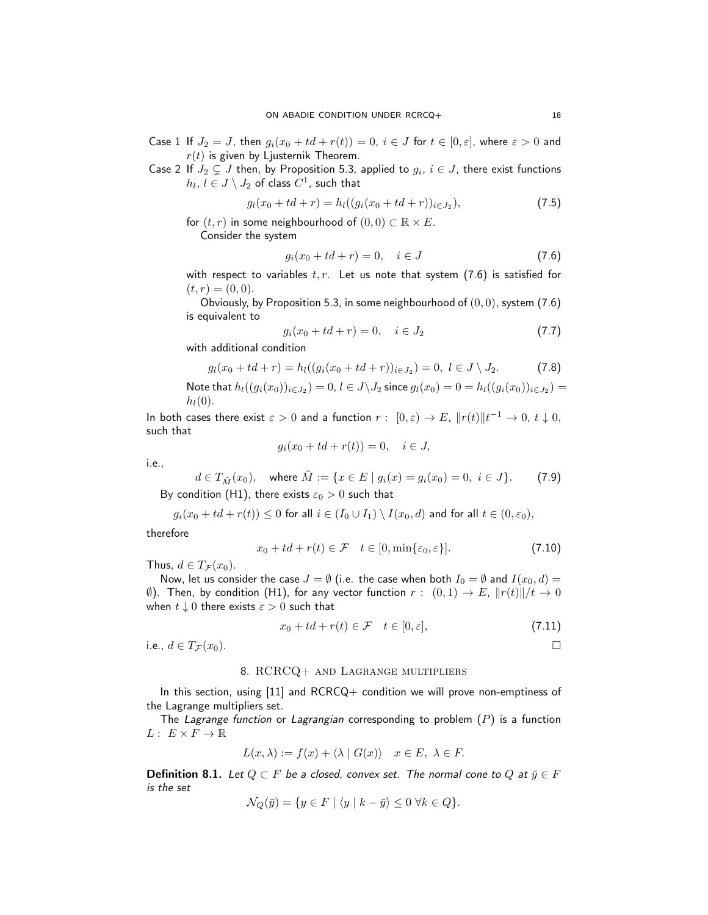Case 1 If  $J_2 = J$ , then  $g_i(x_0 + td + r(t)) = 0$ ,  $i \in J$  for  $t \in [0, \varepsilon]$ , where  $\varepsilon > 0$  and  $r(t)$  is given by Ljusternik Theorem.

Case 2 If  $J_2 \subsetneq J$  then, by Proposition [5.3,](#page-13-0) applied to  $g_i, \, i \in J,$  there exist functions  $h_l, \, l \in J \setminus J_2$  of class  $C^1$ , such that

$$
g_l(x_0 + td + r) = h_l((g_i(x_0 + td + r))_{i \in J_2}),
$$
\n(7.5)

for  $(t, r)$  in some neighbourhood of  $(0, 0) \subset \mathbb{R} \times E$ .

Consider the system

<span id="page-17-1"></span>
$$
g_i(x_0 + td + r) = 0, \quad i \in J
$$
\n(7.6)

with respect to variables  $t, r$ . Let us note that system [\(7.6\)](#page-17-1) is satisfied for  $(t, r) = (0, 0).$ 

Obviously, by Proposition [5.3,](#page-13-0) in some neighbourhood of  $(0, 0)$ , system  $(7.6)$ is equivalent to

$$
g_i(x_0 + td + r) = 0, \quad i \in J_2 \tag{7.7}
$$

with additional condition

$$
g_l(x_0 + td + r) = h_l((g_i(x_0 + td + r))_{i \in J_2}) = 0, \ l \in J \setminus J_2.
$$
 (7.8)

Note that  $h_l((g_i(x_0))_{i\in J_2})=0$ ,  $l\in J\backslash J_2$  since  $g_l(x_0)=0=h_l((g_i(x_0))_{i\in J_2})=0$  $h_l(0)$ .

In both cases there exist  $\varepsilon > 0$  and a function  $r: [0, \varepsilon) \to E$ ,  $||r(t)||t^{-1} \to 0$ ,  $t \downarrow 0$ , such that

$$
g_i(x_0 + td + r(t)) = 0, \quad i \in J,
$$

i.e.,

<span id="page-17-2"></span>
$$
d \in T_{\tilde{M}}(x_0), \quad \text{where } \tilde{M} := \{ x \in E \mid g_i(x) = g_i(x_0) = 0, \ i \in J \}. \tag{7.9}
$$

By condition [\(H1\),](#page-14-3) there exists  $\varepsilon_0 > 0$  such that

$$
g_i(x_0+td+r(t))\leq 0 \text{ for all } i\in (I_0\cup I_1)\setminus I(x_0,d) \text{ and for all } t\in (0,\varepsilon_0),
$$

therefore

$$
x_0 + td + r(t) \in \mathcal{F} \quad t \in [0, \min\{\varepsilon_0, \varepsilon\}]. \tag{7.10}
$$

Thus,  $d \in T_{\mathcal{F}}(x_0)$ .

Now, let us consider the case  $J = \emptyset$  (i.e. the case when both  $I_0 = \emptyset$  and  $I(x_0, d) =$ (0). Then, by condition [\(H1\),](#page-14-3) for any vector function  $r: (0,1) \rightarrow E$ ,  $||r(t)||/t \rightarrow 0$ when  $t \downarrow 0$  there exists  $\varepsilon > 0$  such that

$$
x_0 + td + r(t) \in \mathcal{F} \quad t \in [0, \varepsilon], \tag{7.11}
$$

<span id="page-17-0"></span>i.e.,  $d \in T_{\mathcal{F}}(x_0)$ .

#### 8. RCRCQ+ and Lagrange multipliers

In this section, using [\[11\]](#page-19-7) and RCRCQ+ condition we will prove non-emptiness of the Lagrange multipliers set.

The Lagrange function or Lagrangian corresponding to problem  $(P)$  $(P)$  $(P)$  is a function  $L: E \times F \to \mathbb{R}$ 

$$
L(x,\lambda) := f(x) + \langle \lambda | G(x) \rangle \quad x \in E, \ \lambda \in F.
$$

**Definition 8.1.** Let  $Q \subset F$  be a closed, convex set. The normal cone to Q at  $\bar{y} \in F$ is the set

$$
\mathcal{N}_Q(\bar{y}) = \{ y \in F \mid \langle y \mid k - \bar{y} \rangle \le 0 \ \forall k \in Q \}.
$$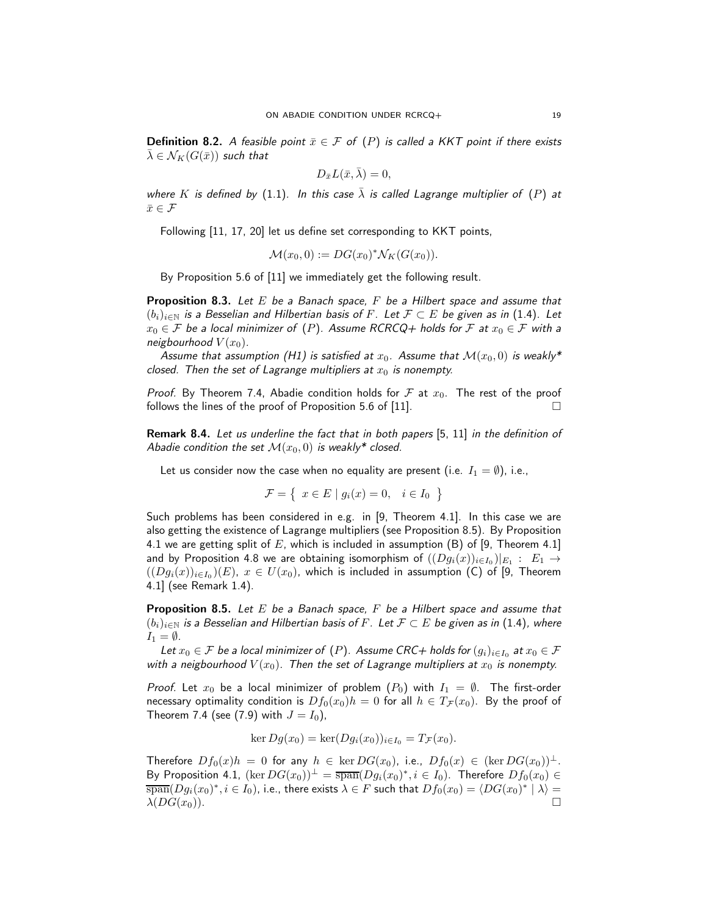**Definition 8.2.** A feasible point  $\bar{x} \in \mathcal{F}$  of ([P](#page-0-0)) is called a KKT point if there exists  $\overline{\lambda} \in \mathcal{N}_K(G(\overline{x}))$  such that

$$
D_{\bar x}L(\bar x,\bar \lambda)=0,
$$

where K is defined by [\(1.1\)](#page-0-2). In this case  $\lambda$  is called Lagrange multiplier of ([P](#page-0-0)) at  $\bar{x}\in\mathcal{F}$ 

Following [\[11,](#page-19-7) [17,](#page-19-23) [20\]](#page-19-24) let us define set corresponding to KKT points,

$$
\mathcal{M}(x_0,0) := DG(x_0)^* \mathcal{N}_K(G(x_0)).
$$

By Proposition 5.6 of [\[11\]](#page-19-7) we immediately get the following result.

**Proposition 8.3.** Let  $E$  be a Banach space,  $F$  be a Hilbert space and assume that  $(b_i)_{i\in\mathbb{N}}$  is a Besselian and Hilbertian basis of F. Let  $\mathcal{F} \subset E$  be given as in [\(1.4\)](#page-1-3). Let  $x_0 \in \mathcal{F}$  be a local minimizer of ([P](#page-0-0)). Assume RCRCQ+ holds for  $\mathcal{F}$  at  $x_0 \in \mathcal{F}$  with a neigbourhood  $V(x_0)$ .

Assume that assumption [\(H1\)](#page-14-3) is satisfied at  $x_0$ . Assume that  $\mathcal{M}(x_0, 0)$  is weakly\* closed. Then the set of Lagrange multipliers at  $x_0$  is nonempty.

*Proof.* By Theorem [7.4,](#page-16-0) Abadie condition holds for  $F$  at  $x_0$ . The rest of the proof follows the lines of the proof of Proposition 5.6 of [\[11\]](#page-19-7).  $\Box$ 

Remark 8.4. Let us underline the fact that in both papers [\[5,](#page-19-6) [11\]](#page-19-7) in the definition of Abadie condition the set  $\mathcal{M}(x_0, 0)$  is weakly\* closed.

Let us consider now the case when no equality are present (i.e.  $I_1 = \emptyset$ ), i.e.,

$$
\mathcal{F} = \left\{ x \in E \mid g_i(x) = 0, \quad i \in I_0 \right\}
$$

Such problems has been considered in e.g. in [\[9,](#page-19-9) Theorem 4.1]. In this case we are also getting the existence of Lagrange multipliers (see Proposition [8.5\)](#page-18-0). By Proposition [4.1](#page-8-1) we are getting split of E, which is included in assumption (B) of [\[9,](#page-19-9) Theorem 4.1] and by Proposition [4.8](#page-11-0) we are obtaining isomorphism of  $((Dg_i(x))_{i\in I_0})|_{E_1}:\;E_1\to$  $((Dg_i(x))_{i\in I_0})(E)$ ,  $x\in U(x_0)$ , which is included in assumption (C) of [\[9,](#page-19-9) Theorem 4.1] (see Remark [1.4\)](#page-2-3).

<span id="page-18-0"></span>**Proposition 8.5.** Let E be a Banach space,  $F$  be a Hilbert space and assume that  $(b_i)_{i\in\mathbb{N}}$  is a Besselian and Hilbertian basis of F. Let  $\mathcal{F}\subset E$  be given as in [\(1.4\)](#page-1-3), where  $I_1 = \emptyset$ .

Let  $x_0\in\mathcal{F}$  be a local minimizer of  $(P)$  $(P)$  $(P)$ . Assume CRC+ holds for  $(g_i)_{i\in I_0}$  at  $x_0\in\mathcal{F}$ with a neigbourhood  $V(x_0)$ . Then the set of Lagrange multipliers at  $x_0$  is nonempty.

*[P](#page-0-1)roof.* Let  $x_0$  be a local minimizer of problem  $(P_0)$  with  $I_1 = \emptyset$ . The first-order necessary optimality condition is  $Df_0(x_0)h = 0$  for all  $h \in T_{\mathcal{F}}(x_0)$ . By the proof of Theorem [7.4](#page-16-0) (see [\(7.9\)](#page-17-2) with  $J = I_0$ ),

$$
\ker Dg(x_0) = \ker(Dg_i(x_0))_{i \in I_0} = T_{\mathcal{F}}(x_0).
$$

Therefore  $Df_0(x)h = 0$  for any  $h \in \text{ker } DG(x_0)$ , i.e.,  $Df_0(x) \in (\text{ker } DG(x_0))^{\perp}$ . By Proposition [4.1,](#page-8-1)  $(\ker DG(x_0))^{\perp} = \overline{\text{span}}(Dg_i(x_0)^*, i \in I_0)$ . Therefore  $Df_0(x_0) \in$  $\overline{\text{span}}(Dg_i(x_0)^*, i\in I_0)$ , i.e., there exists  $\lambda\in F$  such that  $Df_0(x_0)=\langle DG(x_0)^*\mid \lambda\rangle=0$  $\lambda(DG(x_0)).$